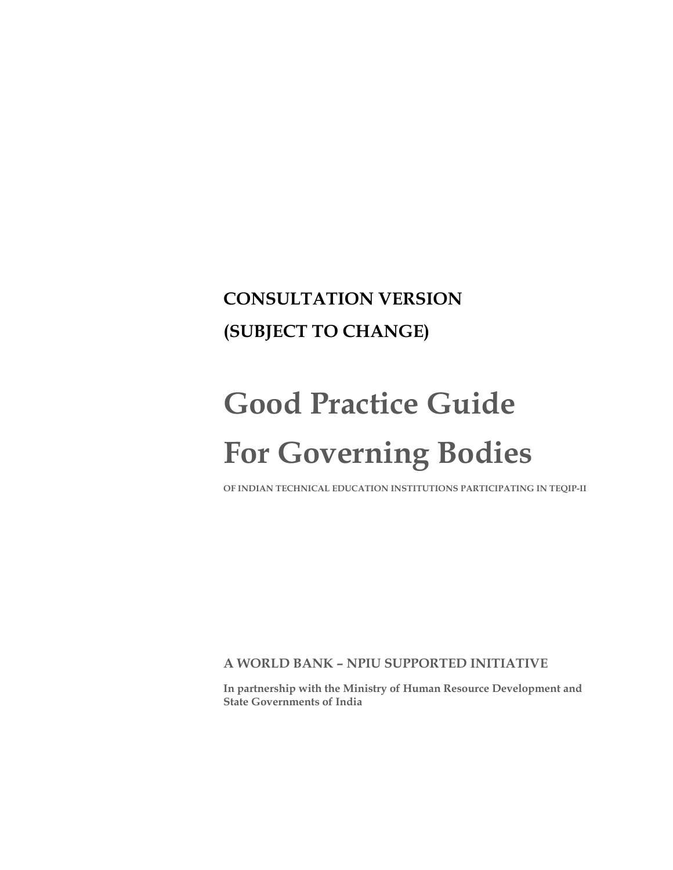## **CONSULTATION VERSION (SUBJECT TO CHANGE)**

# **Good Practice Guide For Governing Bodies**

**OF INDIAN TECHNICAL EDUCATION INSTITUTIONS PARTICIPATING IN TEQIP-II** 

**A WORLD BANK – NPIU SUPPORTED INITIATIVE** 

**In partnership with the Ministry of Human Resource Development and State Governments of India**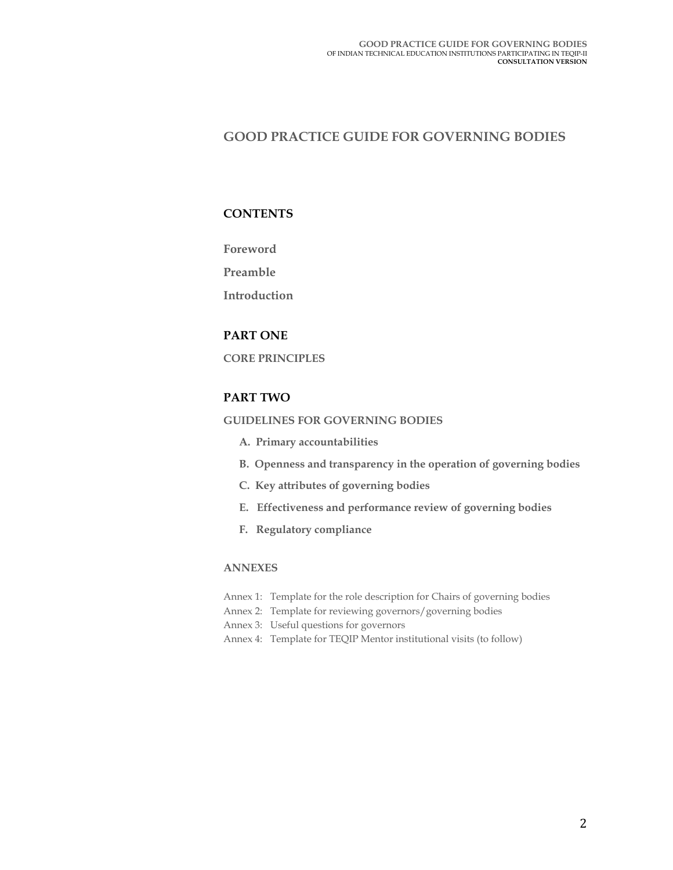## **GOOD PRACTICE GUIDE FOR GOVERNING BODIES**

## **CONTENTS**

**Foreword** 

**Preamble** 

**Introduction** 

## **PART ONE**

**CORE PRINCIPLES** 

## **PART TWO**

## **GUIDELINES FOR GOVERNING BODIES**

- **A. Primary accountabilities**
- **B. Openness and transparency in the operation of governing bodies**
- **C. Key attributes of governing bodies**
- **E. Effectiveness and performance review of governing bodies**
- **F. Regulatory compliance**

## **ANNEXES**

- Annex 1: Template for the role description for Chairs of governing bodies
- Annex 2: Template for reviewing governors/governing bodies
- Annex 3: Useful questions for governors
- Annex 4: Template for TEQIP Mentor institutional visits (to follow)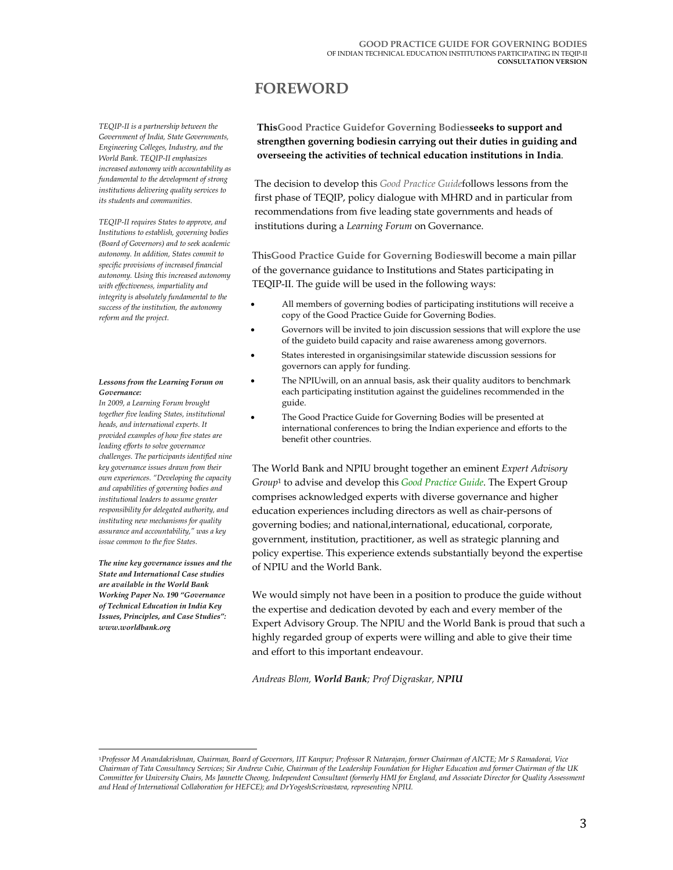## **FOREWORD**

*TEQIP-II is a partnership between the Government of India, State Governments, Engineering Colleges, Industry, and the World Bank. TEQIP-II emphasizes increased autonomy with accountability as fundamental to the development of strong institutions delivering quality services to its students and communities.* 

*TEQIP-II requires States to approve, and Institutions to establish, governing bodies (Board of Governors) and to seek academic autonomy. In addition, States commit to specific provisions of increased financial autonomy. Using this increased autonomy with effectiveness, impartiality and integrity is absolutely fundamental to the success of the institution, the autonomy reform and the project.* 

#### *Lessons from the Learning Forum on Governance:*

*In 2009, a Learning Forum brought together five leading States, institutional heads, and international experts. It provided examples of how five states are leading efforts to solve governance challenges. The participants identified nine key governance issues drawn from their own experiences. "Developing the capacity and capabilities of governing bodies and institutional leaders to assume greater responsibility for delegated authority, and instituting new mechanisms for quality assurance and accountability," was a key issue common to the five States.* 

*The nine key governance issues and the State and International Case studies are available in the World Bank Working Paper No. 190 "Governance of Technical Education in India Key Issues, Principles, and Case Studies": www.worldbank.org* 

 $\overline{\phantom{a}}$ 

**ThisGood Practice Guidefor Governing Bodiesseeks to support and strengthen governing bodiesin carrying out their duties in guiding and overseeing the activities of technical education institutions in India**.

The decision to develop this *Good Practice Guide*follows lessons from the first phase of TEQIP, policy dialogue with MHRD and in particular from recommendations from five leading state governments and heads of institutions during a *Learning Forum* on Governance.

This**Good Practice Guide for Governing Bodies**will become a main pillar of the governance guidance to Institutions and States participating in TEQIP-II. The guide will be used in the following ways:

- All members of governing bodies of participating institutions will receive a copy of the Good Practice Guide for Governing Bodies.
- Governors will be invited to join discussion sessions that will explore the use of the guideto build capacity and raise awareness among governors.
- States interested in organisingsimilar statewide discussion sessions for governors can apply for funding.
- The NPIUwill, on an annual basis, ask their quality auditors to benchmark each participating institution against the guidelines recommended in the guide.
- The Good Practice Guide for Governing Bodies will be presented at international conferences to bring the Indian experience and efforts to the benefit other countries.

The World Bank and NPIU brought together an eminent *Expert Advisory Group*1 to advise and develop this *Good Practice Guide*. The Expert Group comprises acknowledged experts with diverse governance and higher education experiences including directors as well as chair-persons of governing bodies; and national,international, educational, corporate, government, institution, practitioner, as well as strategic planning and policy expertise. This experience extends substantially beyond the expertise of NPIU and the World Bank.

We would simply not have been in a position to produce the guide without the expertise and dedication devoted by each and every member of the Expert Advisory Group. The NPIU and the World Bank is proud that such a highly regarded group of experts were willing and able to give their time and effort to this important endeavour.

*Andreas Blom, World Bank; Prof Digraskar, NPIU*

<sup>1</sup>*Professor M Anandakrishnan, Chairman, Board of Governors, IIT Kanpur; Professor R Natarajan, former Chairman of AICTE; Mr S Ramadorai, Vice Chairman of Tata Consultancy Services; Sir Andrew Cubie, Chairman of the Leadership Foundation for Higher Education and former Chairman of the UK Committee for University Chairs, Ms Jannette Cheong, Independent Consultant (formerly HMI for England, and Associate Director for Quality Assessment and Head of International Collaboration for HEFCE); and DrYogeshScrivastava, representing NPIU.*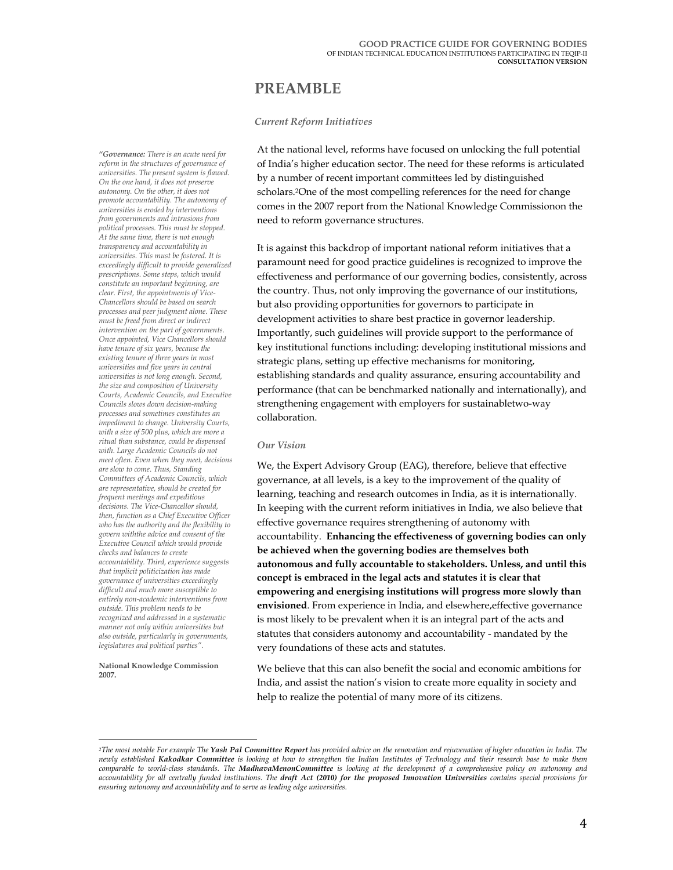## **PREAMBLE**

#### *Current Reform Initiatives*

*"Governance: There is an acute need for reform in the structures of governance of universities. The present system is flawed. On the one hand, it does not preserve autonomy. On the other, it does not promote accountability. The autonomy of universities is eroded by interventions from governments and intrusions from political processes. This must be stopped. At the same time, there is not enough transparency and accountability in universities. This must be fostered. It is exceedingly difficult to provide generalized prescriptions. Some steps, which would constitute an important beginning, are clear. First, the appointments of Vice-Chancellors should be based on search processes and peer judgment alone. These must be freed from direct or indirect intervention on the part of governments. Once appointed, Vice Chancellors should have tenure of six years, because the existing tenure of three years in most universities and five years in central universities is not long enough. Second, the size and composition of University Courts, Academic Councils, and Executive Councils slows down decision-making processes and sometimes constitutes an impediment to change. University Courts, with a size of 500 plus, which are more a ritual than substance, could be dispensed with. Large Academic Councils do not meet often. Even when they meet, decisions are slow to come*. *Thus, Standing Committees of Academic Councils, which are representative, should be created for frequent meetings and expeditious decisions. The Vice-Chancellor should, then, function as a Chief Executive Officer who has the authority and the flexibility to govern withthe advice and consent of the Executive Council which would provide checks and balances to create accountability. Third, experience suggests that implicit politicization has made governance of universities exceedingly difficult and much more susceptible to entirely non-academic interventions from outside. This problem needs to be recognized and addressed in a systematic manner not only within universities but also outside, particularly in governments, legislatures and political parties".* 

**National Knowledge Commission 2007.**

 $\overline{\phantom{a}}$ 

At the national level, reforms have focused on unlocking the full potential of India's higher education sector. The need for these reforms is articulated by a number of recent important committees led by distinguished scholars.2One of the most compelling references for the need for change comes in the 2007 report from the National Knowledge Commissionon the need to reform governance structures.

It is against this backdrop of important national reform initiatives that a paramount need for good practice guidelines is recognized to improve the effectiveness and performance of our governing bodies, consistently, across the country. Thus, not only improving the governance of our institutions, but also providing opportunities for governors to participate in development activities to share best practice in governor leadership. Importantly, such guidelines will provide support to the performance of key institutional functions including: developing institutional missions and strategic plans, setting up effective mechanisms for monitoring, establishing standards and quality assurance, ensuring accountability and performance (that can be benchmarked nationally and internationally), and strengthening engagement with employers for sustainabletwo-way collaboration.

#### *Our Vision*

We, the Expert Advisory Group (EAG), therefore, believe that effective governance, at all levels, is a key to the improvement of the quality of learning, teaching and research outcomes in India, as it is internationally. In keeping with the current reform initiatives in India, we also believe that effective governance requires strengthening of autonomy with accountability. **Enhancing the effectiveness of governing bodies can only be achieved when the governing bodies are themselves both autonomous and fully accountable to stakeholders. Unless, and until this concept is embraced in the legal acts and statutes it is clear that empowering and energising institutions will progress more slowly than envisioned**. From experience in India, and elsewhere,effective governance is most likely to be prevalent when it is an integral part of the acts and statutes that considers autonomy and accountability - mandated by the very foundations of these acts and statutes.

We believe that this can also benefit the social and economic ambitions for India, and assist the nation's vision to create more equality in society and help to realize the potential of many more of its citizens.

*<sup>2</sup>The most notable For example The Yash Pal Committee Report has provided advice on the renovation and rejuvenation of higher education in India. The newly established Kakodkar Committee is looking at how to strengthen the Indian Institutes of Technology and their research base to make them comparable to world-class standards. The MadhavaMenonCommittee is looking at the development of a comprehensive policy on autonomy and accountability for all centrally funded institutions. The draft Act (2010) for the proposed Innovation Universities contains special provisions for ensuring autonomy and accountability and to serve as leading edge universities.*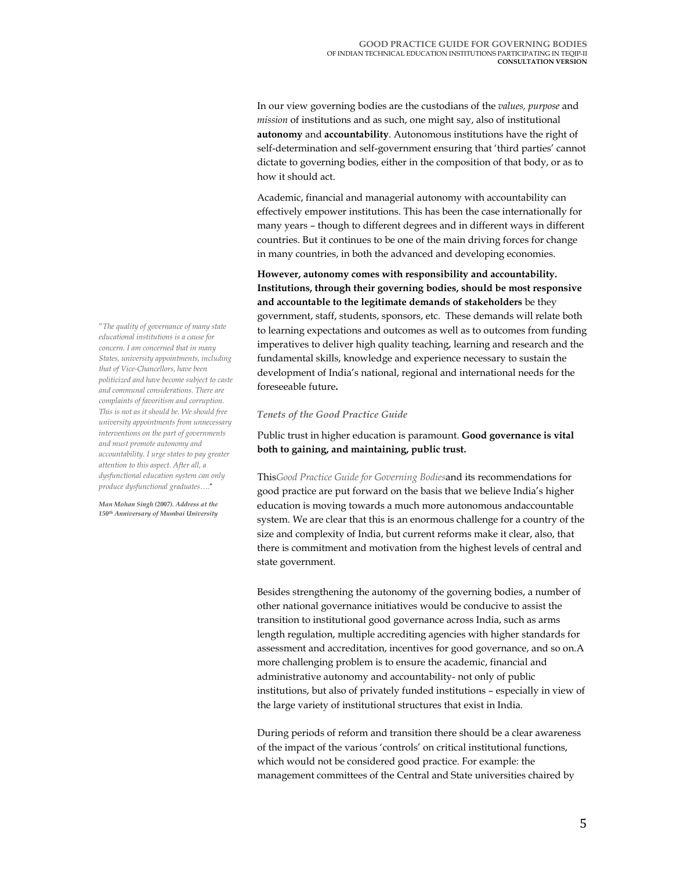In our view governing bodies are the custodians of the *values, purpose* and *mission* of institutions and as such, one might say, also of institutional **autonomy** and **accountability**. Autonomous institutions have the right of self-determination and self-government ensuring that 'third parties' cannot dictate to governing bodies, either in the composition of that body, or as to how it should act.

Academic, financial and managerial autonomy with accountability can effectively empower institutions. This has been the case internationally for many years – though to different degrees and in different ways in different countries. But it continues to be one of the main driving forces for change in many countries, in both the advanced and developing economies.

**However, autonomy comes with responsibility and accountability. Institutions, through their governing bodies, should be most responsive and accountable to the legitimate demands of stakeholders** be they government, staff, students, sponsors, etc. These demands will relate both to learning expectations and outcomes as well as to outcomes from funding imperatives to deliver high quality teaching, learning and research and the fundamental skills, knowledge and experience necessary to sustain the development of India's national, regional and international needs for the foreseeable future**.**

#### *Tenets of the Good Practice Guide*

Public trust in higher education is paramount. **Good governance is vital both to gaining, and maintaining, public trust.**

This*Good Practice Guide for Governing Bodies*and its recommendations for good practice are put forward on the basis that we believe India's higher education is moving towards a much more autonomous andaccountable system. We are clear that this is an enormous challenge for a country of the size and complexity of India, but current reforms make it clear, also, that there is commitment and motivation from the highest levels of central and state government.

Besides strengthening the autonomy of the governing bodies, a number of other national governance initiatives would be conducive to assist the transition to institutional good governance across India, such as arms length regulation, multiple accrediting agencies with higher standards for assessment and accreditation, incentives for good governance, and so on.A more challenging problem is to ensure the academic, financial and administrative autonomy and accountability- not only of public institutions, but also of privately funded institutions – especially in view of the large variety of institutional structures that exist in India.

During periods of reform and transition there should be a clear awareness of the impact of the various 'controls' on critical institutional functions, which would not be considered good practice. For example: the management committees of the Central and State universities chaired by

"*The quality of governance of many state educational institutions is a cause for concern. I am concerned that in many States, university appointments, including that of Vice-Chancellors, have been politicized and have become subject to caste and communal considerations. There are complaints of favoritism and corruption. This is not as it should be. We should free university appointments from unnecessary interventions on the part of governments and must promote autonomy and accountability. I urge states to pay greater attention to this aspect. After all, a dysfunctional education system can only produce dysfunctional graduates….*"

*Man Mohan Singh (2007). Address at the 150th Anniversary of Mumbai University*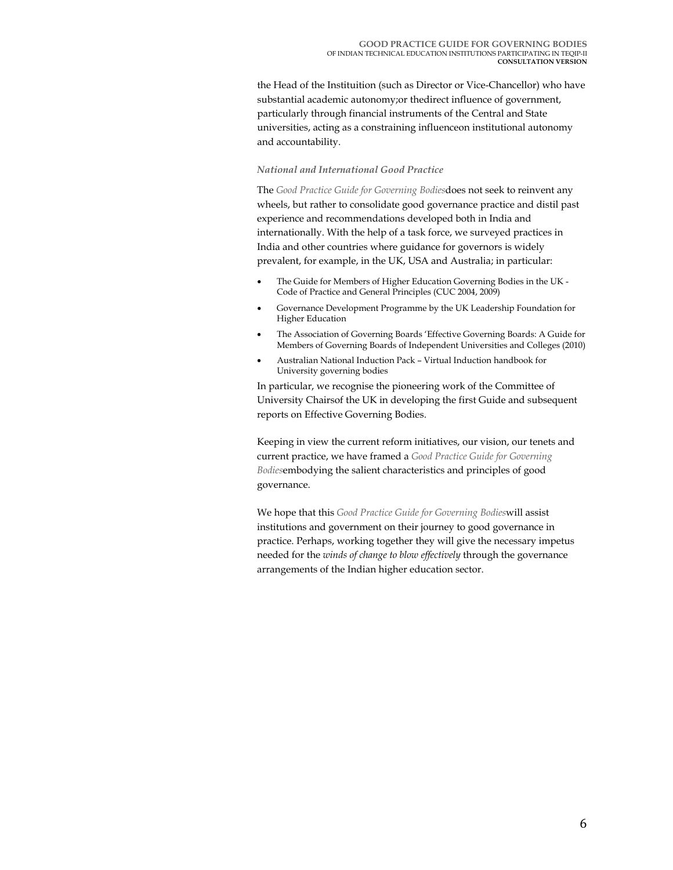the Head of the Instituition (such as Director or Vice-Chancellor) who have substantial academic autonomy;or thedirect influence of government, particularly through financial instruments of the Central and State universities, acting as a constraining influenceon institutional autonomy and accountability.

#### *National and International Good Practice*

The *Good Practice Guide for Governing Bodies*does not seek to reinvent any wheels, but rather to consolidate good governance practice and distil past experience and recommendations developed both in India and internationally. With the help of a task force, we surveyed practices in India and other countries where guidance for governors is widely prevalent, for example, in the UK, USA and Australia; in particular:

- The Guide for Members of Higher Education Governing Bodies in the UK Code of Practice and General Principles (CUC 2004, 2009)
- Governance Development Programme by the UK Leadership Foundation for Higher Education
- The Association of Governing Boards 'Effective Governing Boards: A Guide for Members of Governing Boards of Independent Universities and Colleges (2010)
- Australian National Induction Pack Virtual Induction handbook for University governing bodies

In particular, we recognise the pioneering work of the Committee of University Chairsof the UK in developing the first Guide and subsequent reports on Effective Governing Bodies.

Keeping in view the current reform initiatives, our vision, our tenets and current practice, we have framed a *Good Practice Guide for Governing Bodies*embodying the salient characteristics and principles of good governance.

We hope that this *Good Practice Guide for Governing Bodies*will assist institutions and government on their journey to good governance in practice. Perhaps, working together they will give the necessary impetus needed for the *winds of change to blow effectively* through the governance arrangements of the Indian higher education sector.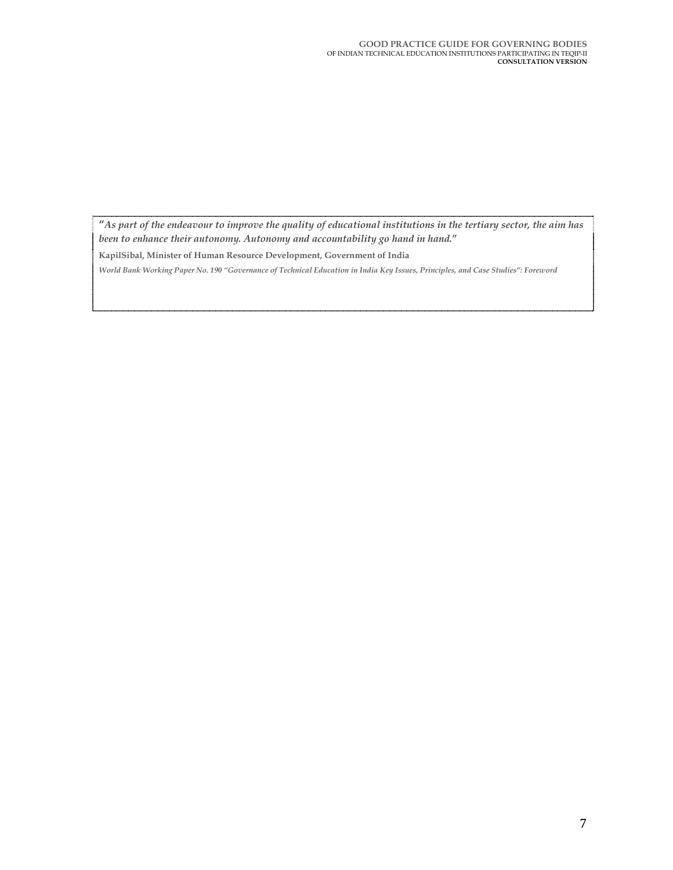**"***As part of the endeavour to improve the quality of educational institutions in the tertiary sector, the aim has been to enhance their autonomy. Autonomy and accountability go hand in hand.***"** 

**KapilSibal, Minister of Human Resource Development, Government of India** 

*World Bank Working Paper No. 190 "Governance of Technical Education in India Key Issues, Principles, and Case Studies": Foreword*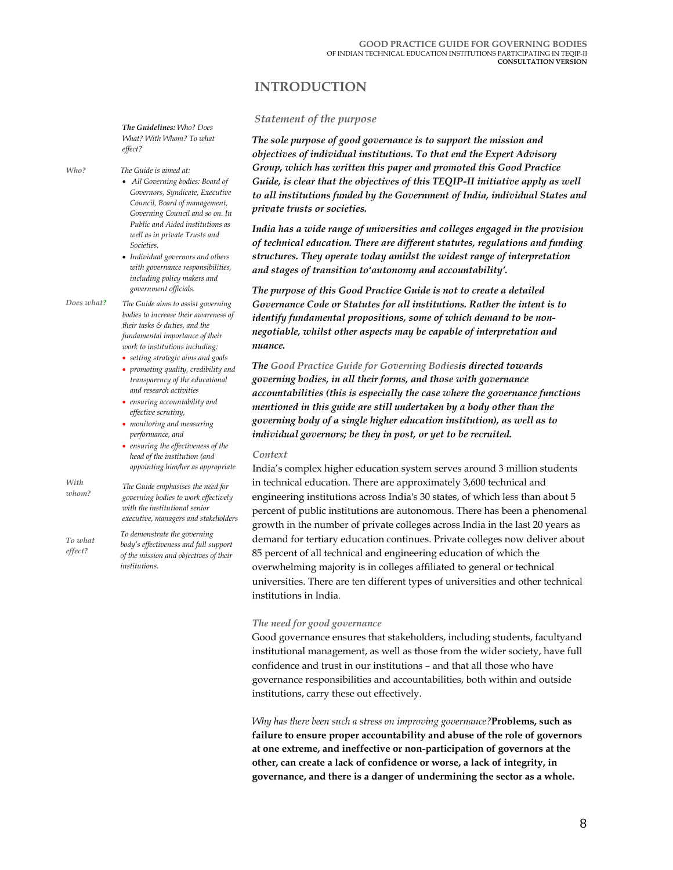## **INTRODUCTION**

#### *The Guidelines: Who? Does What? With Whom? To what effect?*

*Who?*

## *The Guide is aimed at:*

- • *All Governing bodies: Board of Governors, Syndicate, Executive Council, Board of management, Governing Council and so on. In Public and Aided institutions as well as in private Trusts and Societies.*
- *Individual governors and others with governance responsibilities, including policy makers and government officials.*
- *Does what? The Guide aims to assist governing bodies to increase their awareness of their tasks & duties, and the fundamental importance of their work to institutions including:* 
	- *setting strategic aims and goals* • *promoting quality, credibility and transparency of the educational and research activities*
	- *ensuring accountability and effective scrutiny,*
	- *monitoring and measuring performance, and*
	- *ensuring the effectiveness of the head of the institution (and appointing him/her as appropriate*
- *With whom? The Guide emphasises the need for governing bodies to work effectively with the institutional senior executive, managers and stakeholders*

*To what effect? To demonstrate the governing body's effectiveness and full support of the mission and objectives of their institutions.* 

#### *Statement of the purpose*

*The sole purpose of good governance is to support the mission and objectives of individual institutions. To that end the Expert Advisory Group, which has written this paper and promoted this Good Practice Guide, is clear that the objectives of this TEQIP-II initiative apply as well to all institutions funded by the Government of India, individual States and private trusts or societies.*

*India has a wide range of universities and colleges engaged in the provision of technical education. There are different statutes, regulations and funding structures. They operate today amidst the widest range of interpretation and stages of transition to'autonomy and accountability'.* 

*The purpose of this Good Practice Guide is not to create a detailed Governance Code or Statutes for all institutions. Rather the intent is to identify fundamental propositions, some of which demand to be nonnegotiable, whilst other aspects may be capable of interpretation and nuance.*

*The Good Practice Guide for Governing Bodiesis directed towards governing bodies, in all their forms, and those with governance accountabilities (this is especially the case where the governance functions mentioned in this guide are still undertaken by a body other than the governing body of a single higher education institution), as well as to individual governors; be they in post, or yet to be recruited.* 

#### *Context*

India's complex higher education system serves around 3 million students in technical education. There are approximately 3,600 technical and engineering institutions across India's 30 states, of which less than about 5 percent of public institutions are autonomous. There has been a phenomenal growth in the number of private colleges across India in the last 20 years as demand for tertiary education continues. Private colleges now deliver about 85 percent of all technical and engineering education of which the overwhelming majority is in colleges affiliated to general or technical universities. There are ten different types of universities and other technical institutions in India*.*

#### *The need for good governance*

Good governance ensures that stakeholders, including students, facultyand institutional management, as well as those from the wider society, have full confidence and trust in our institutions – and that all those who have governance responsibilities and accountabilities, both within and outside institutions, carry these out effectively.

*Why has there been such a stress on improving governance?***Problems, such as failure to ensure proper accountability and abuse of the role of governors at one extreme, and ineffective or non-participation of governors at the other, can create a lack of confidence or worse, a lack of integrity, in governance, and there is a danger of undermining the sector as a whole.**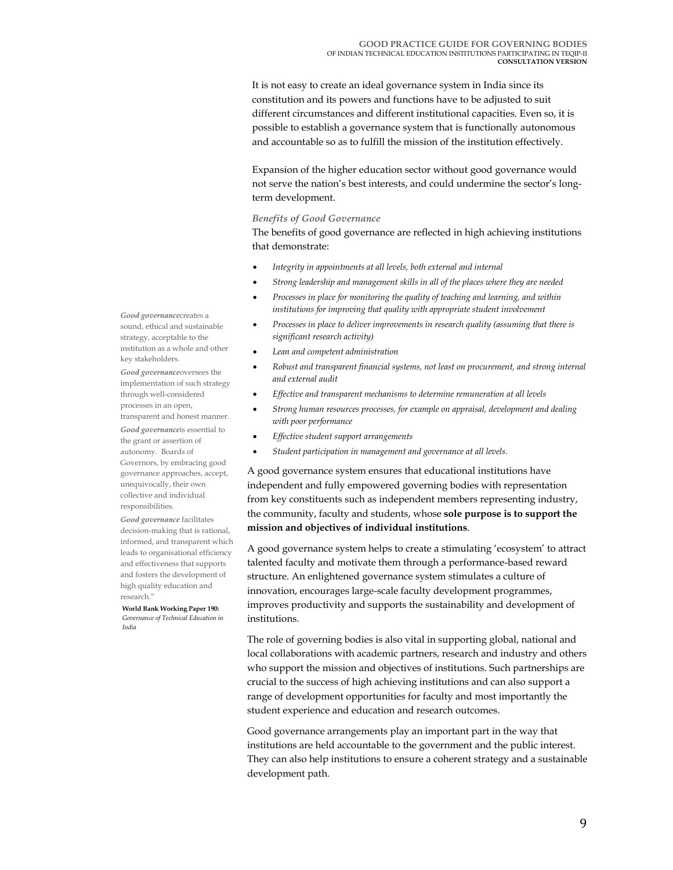It is not easy to create an ideal governance system in India since its constitution and its powers and functions have to be adjusted to suit different circumstances and different institutional capacities. Even so, it is possible to establish a governance system that is functionally autonomous and accountable so as to fulfill the mission of the institution effectively.

Expansion of the higher education sector without good governance would not serve the nation's best interests, and could undermine the sector's longterm development.

#### *Benefits of Good Governance*

The benefits of good governance are reflected in high achieving institutions that demonstrate:

- *Integrity in appointments at all levels, both external and internal*
- *Strong leadership and management skills in all of the places where they are needed*
- *Processes in place for monitoring the quality of teaching and learning, and within institutions for improving that quality with appropriate student involvement*
- *Processes in place to deliver improvements in research quality (assuming that there is significant research activity)*
- *Lean and competent administration*
- *Robust and transparent financial systems, not least on procurement, and strong internal and external audit*
- *Effective and transparent mechanisms to determine remuneration at all levels*
- *Strong human resources processes, for example on appraisal, development and dealing with poor performance*
- *Effective student support arrangements*
- *Student participation in management and governance at all levels.*

A good governance system ensures that educational institutions have independent and fully empowered governing bodies with representation from key constituents such as independent members representing industry, the community, faculty and students, whose **sole purpose is to support the mission and objectives of individual institutions**.

A good governance system helps to create a stimulating 'ecosystem' to attract talented faculty and motivate them through a performance-based reward structure. An enlightened governance system stimulates a culture of innovation, encourages large-scale faculty development programmes, improves productivity and supports the sustainability and development of institutions.

The role of governing bodies is also vital in supporting global, national and local collaborations with academic partners, research and industry and others who support the mission and objectives of institutions. Such partnerships are crucial to the success of high achieving institutions and can also support a range of development opportunities for faculty and most importantly the student experience and education and research outcomes.

Good governance arrangements play an important part in the way that institutions are held accountable to the government and the public interest. They can also help institutions to ensure a coherent strategy and a sustainable development path.

*Good governance*creates a sound, ethical and sustainable strategy, acceptable to the institution as a whole and other key stakeholders.

*Good governance*oversees the implementation of such strategy through well-considered processes in an open,

transparent and honest manner. *Good governance*is essential to the grant or assertion of autonomy. Boards of Governors, by embracing good governance approaches, accept, unequivocally, their own collective and individual responsibilities.

*Good governance* facilitates decision-making that is rational, informed, and transparent which leads to organisational efficiency and effectiveness that supports and fosters the development of high quality education and research."

**World Bank Working Paper 190:** *Governance of Technical Education in India*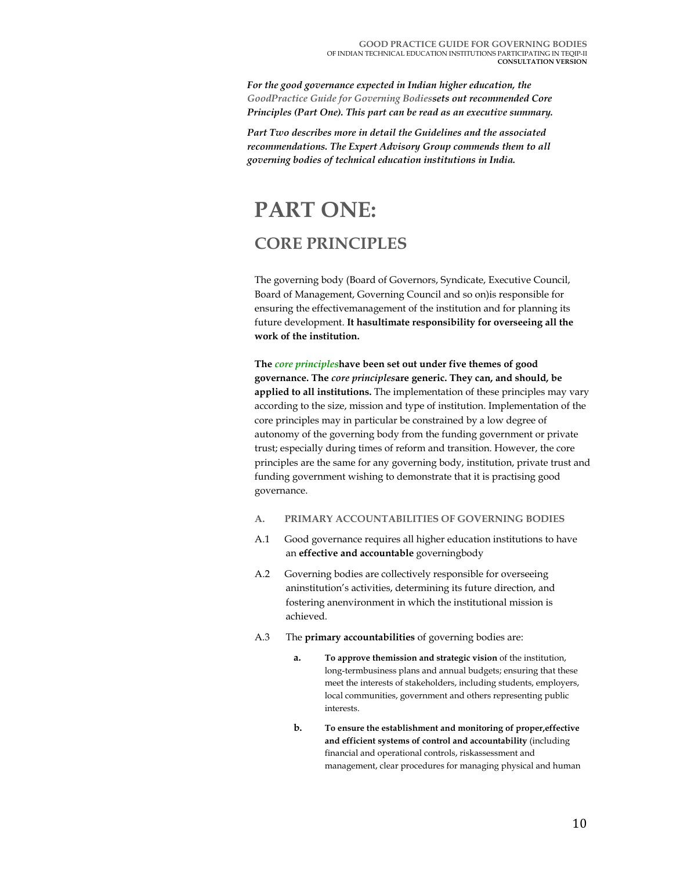*For the good governance expected in Indian higher education, the GoodPractice Guide for Governing Bodiessets out recommended Core Principles (Part One). This part can be read as an executive summary.* 

*Part Two describes more in detail the Guidelines and the associated recommendations. The Expert Advisory Group commends them to all governing bodies of technical education institutions in India.* 

## **PART ONE: CORE PRINCIPLES**

The governing body (Board of Governors, Syndicate, Executive Council, Board of Management, Governing Council and so on)is responsible for ensuring the effectivemanagement of the institution and for planning its future development. **It hasultimate responsibility for overseeing all the work of the institution.** 

**The** *core principles***have been set out under five themes of good governance. The** *core principles***are generic. They can, and should, be applied to all institutions.** The implementation of these principles may vary according to the size, mission and type of institution. Implementation of the core principles may in particular be constrained by a low degree of autonomy of the governing body from the funding government or private trust; especially during times of reform and transition. However, the core principles are the same for any governing body, institution, private trust and funding government wishing to demonstrate that it is practising good governance.

- **A. PRIMARY ACCOUNTABILITIES OF GOVERNING BODIES**
- A.1 Good governance requires all higher education institutions to have an **effective and accountable** governingbody
- A.2 Governing bodies are collectively responsible for overseeing aninstitution's activities, determining its future direction, and fostering anenvironment in which the institutional mission is achieved.
- A.3 The **primary accountabilities** of governing bodies are:
	- **a. To approve themission and strategic vision** of the institution, long-termbusiness plans and annual budgets; ensuring that these meet the interests of stakeholders, including students, employers, local communities, government and others representing public interests.
	- **b. To ensure the establishment and monitoring of proper,effective and efficient systems of control and accountability** (including financial and operational controls, riskassessment and management, clear procedures for managing physical and human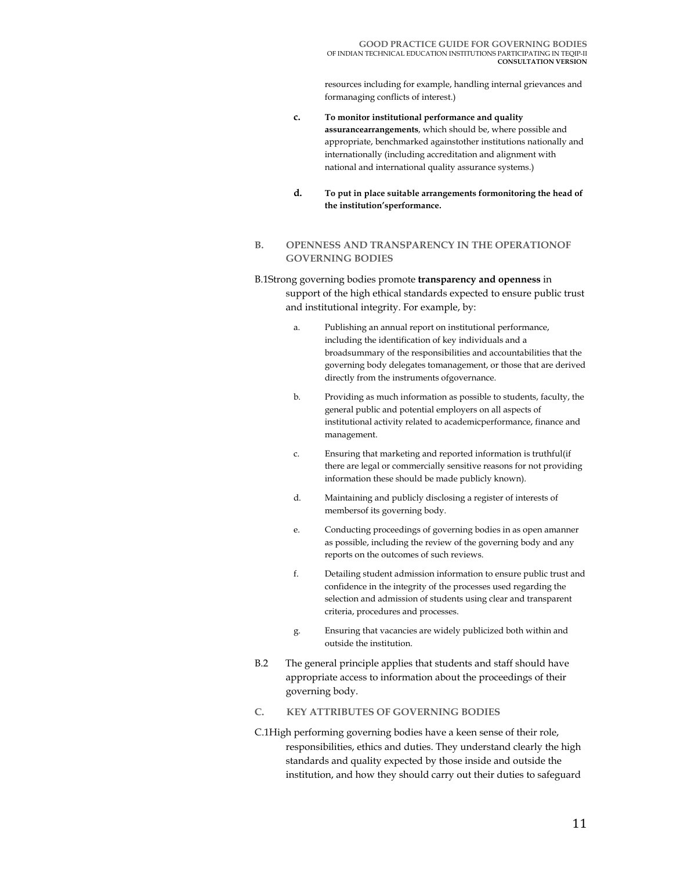resources including for example, handling internal grievances and formanaging conflicts of interest.)

- **c. To monitor institutional performance and quality assurancearrangements**, which should be, where possible and appropriate, benchmarked againstother institutions nationally and internationally (including accreditation and alignment with national and international quality assurance systems.)
- **d. To put in place suitable arrangements formonitoring the head of the institution'sperformance.**

#### **B. OPENNESS AND TRANSPARENCY IN THE OPERATIONOF GOVERNING BODIES**

### B.1Strong governing bodies promote **transparency and openness** in support of the high ethical standards expected to ensure public trust and institutional integrity. For example, by:

- a. Publishing an annual report on institutional performance, including the identification of key individuals and a broadsummary of the responsibilities and accountabilities that the governing body delegates tomanagement, or those that are derived directly from the instruments ofgovernance.
- b. Providing as much information as possible to students, faculty, the general public and potential employers on all aspects of institutional activity related to academicperformance, finance and management.
- c. Ensuring that marketing and reported information is truthful(if there are legal or commercially sensitive reasons for not providing information these should be made publicly known).
- d. Maintaining and publicly disclosing a register of interests of membersof its governing body.
- e. Conducting proceedings of governing bodies in as open amanner as possible, including the review of the governing body and any reports on the outcomes of such reviews.
- f. Detailing student admission information to ensure public trust and confidence in the integrity of the processes used regarding the selection and admission of students using clear and transparent criteria, procedures and processes.
- g. Ensuring that vacancies are widely publicized both within and outside the institution.
- B.2 The general principle applies that students and staff should have appropriate access to information about the proceedings of their governing body.

#### **C. KEY ATTRIBUTES OF GOVERNING BODIES**

C.1High performing governing bodies have a keen sense of their role, responsibilities, ethics and duties. They understand clearly the high standards and quality expected by those inside and outside the institution, and how they should carry out their duties to safeguard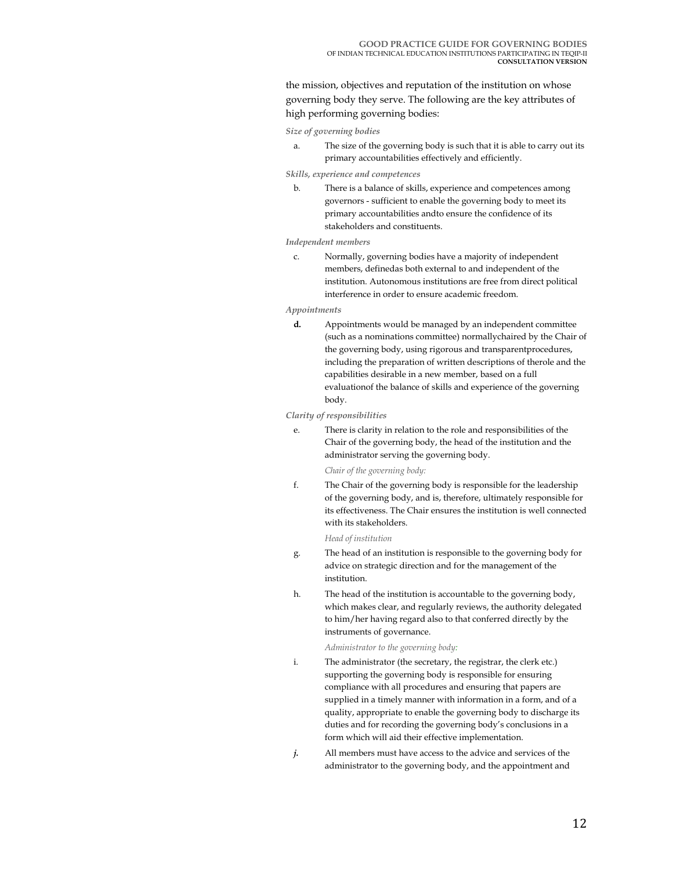the mission, objectives and reputation of the institution on whose governing body they serve. The following are the key attributes of high performing governing bodies:

*Size of governing bodies* 

a. The size of the governing body is such that it is able to carry out its primary accountabilities effectively and efficiently.

#### *Skills, experience and competences*

b. There is a balance of skills, experience and competences among governors - sufficient to enable the governing body to meet its primary accountabilities andto ensure the confidence of its stakeholders and constituents.

#### *Independent members*

c. Normally, governing bodies have a majority of independent members, definedas both external to and independent of the institution. Autonomous institutions are free from direct political interference in order to ensure academic freedom.

#### *Appointments*

**d.** Appointments would be managed by an independent committee (such as a nominations committee) normallychaired by the Chair of the governing body, using rigorous and transparentprocedures, including the preparation of written descriptions of therole and the capabilities desirable in a new member, based on a full evaluationof the balance of skills and experience of the governing body.

#### *Clarity of responsibilities*

e. There is clarity in relation to the role and responsibilities of the Chair of the governing body, the head of the institution and the administrator serving the governing body.

#### *Chair of the governing body:*

f. The Chair of the governing body is responsible for the leadership of the governing body, and is, therefore, ultimately responsible for its effectiveness. The Chair ensures the institution is well connected with its stakeholders.

#### *Head of institution*

- g. The head of an institution is responsible to the governing body for advice on strategic direction and for the management of the institution.
- h. The head of the institution is accountable to the governing body, which makes clear, and regularly reviews, the authority delegated to him/her having regard also to that conferred directly by the instruments of governance.

#### *Administrator to the governing body:*

- i. The administrator (the secretary, the registrar, the clerk etc.) supporting the governing body is responsible for ensuring compliance with all procedures and ensuring that papers are supplied in a timely manner with information in a form, and of a quality, appropriate to enable the governing body to discharge its duties and for recording the governing body's conclusions in a form which will aid their effective implementation.
- *j.* All members must have access to the advice and services of the administrator to the governing body, and the appointment and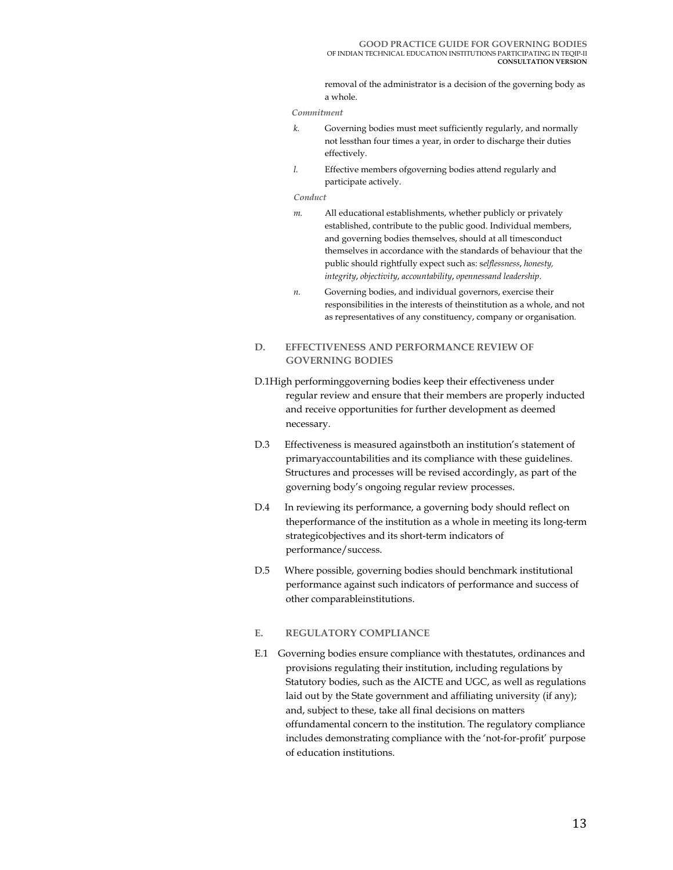removal of the administrator is a decision of the governing body as a whole.

#### *Commitment*

- *k.* Governing bodies must meet sufficiently regularly, and normally not lessthan four times a year, in order to discharge their duties effectively.
- *l.* Effective members ofgoverning bodies attend regularly and participate actively.

#### *Conduct*

- *m.* All educational establishments, whether publicly or privately established, contribute to the public good. Individual members, and governing bodies themselves, should at all timesconduct themselves in accordance with the standards of behaviour that the public should rightfully expect such as: s*elflessness*, *honesty, integrity*, *objectivity*, *accountability*, *opennessand leadership*.
- *n.* Governing bodies, and individual governors, exercise their responsibilities in the interests of theinstitution as a whole, and not as representatives of any constituency, company or organisation.

#### **D. EFFECTIVENESS AND PERFORMANCE REVIEW OF GOVERNING BODIES**

- D.1High performinggoverning bodies keep their effectiveness under regular review and ensure that their members are properly inducted and receive opportunities for further development as deemed necessary.
- D.3 Effectiveness is measured againstboth an institution's statement of primaryaccountabilities and its compliance with these guidelines. Structures and processes will be revised accordingly, as part of the governing body's ongoing regular review processes.
- D.4 In reviewing its performance, a governing body should reflect on theperformance of the institution as a whole in meeting its long-term strategicobjectives and its short-term indicators of performance/success.
- D.5 Where possible, governing bodies should benchmark institutional performance against such indicators of performance and success of other comparableinstitutions.

#### **E. REGULATORY COMPLIANCE**

E.1 Governing bodies ensure compliance with thestatutes, ordinances and provisions regulating their institution, including regulations by Statutory bodies, such as the AICTE and UGC, as well as regulations laid out by the State government and affiliating university (if any); and, subject to these, take all final decisions on matters offundamental concern to the institution. The regulatory compliance includes demonstrating compliance with the 'not-for-profit' purpose of education institutions.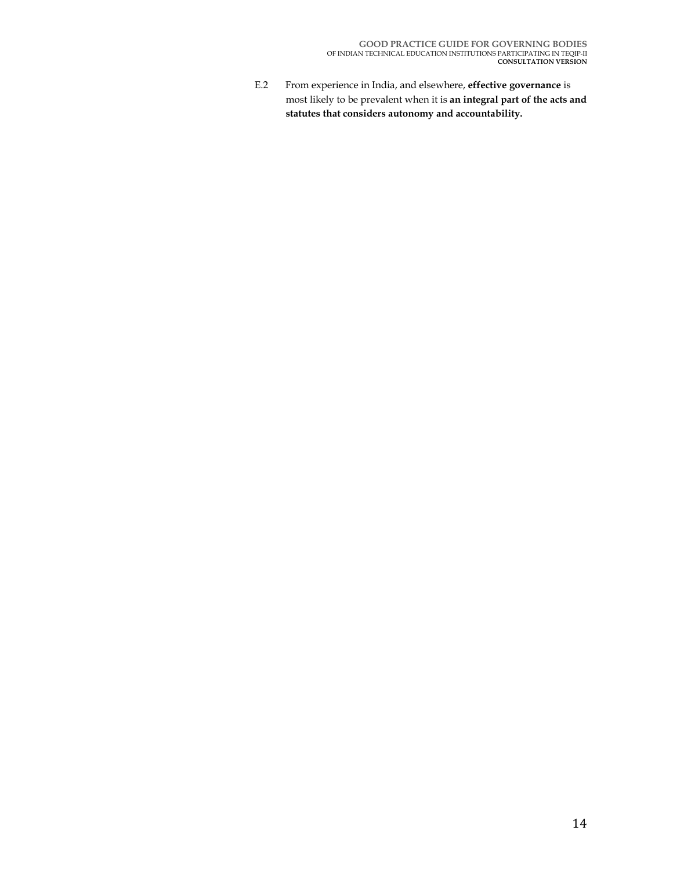E.2 From experience in India, and elsewhere, **effective governance** is most likely to be prevalent when it is **an integral part of the acts and statutes that considers autonomy and accountability.**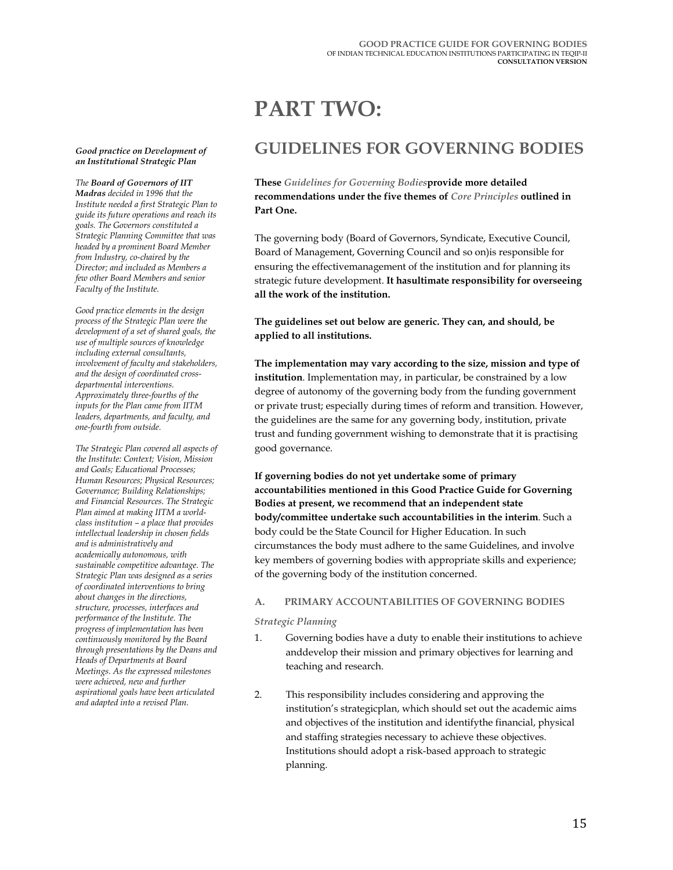#### *Good practice on Development of an Institutional Strategic Plan*

#### *The Board of Governors of IIT Madras decided in 1996 that the Institute needed a first Strategic Plan to guide its future operations and reach its goals. The Governors constituted a Strategic Planning Committee that was*

*headed by a prominent Board Member from Industry, co-chaired by the Director; and included as Members a few other Board Members and senior Faculty of the Institute.* 

*Good practice elements in the design process of the Strategic Plan were the development of a set of shared goals, the use of multiple sources of knowledge including external consultants, involvement of faculty and stakeholders, and the design of coordinated crossdepartmental interventions. Approximately three-fourths of the inputs for the Plan came from IITM leaders, departments, and faculty, and one-fourth from outside.* 

*The Strategic Plan covered all aspects of the Institute: Context; Vision, Mission and Goals; Educational Processes; Human Resources; Physical Resources; Governance; Building Relationships; and Financial Resources. The Strategic Plan aimed at making IITM a worldclass institution – a place that provides intellectual leadership in chosen fields and is administratively and academically autonomous, with sustainable competitive advantage. The Strategic Plan was designed as a series of coordinated interventions to bring about changes in the directions, structure, processes, interfaces and performance of the Institute. The progress of implementation has been continuously monitored by the Board through presentations by the Deans and Heads of Departments at Board Meetings. As the expressed milestones were achieved, new and further aspirational goals have been articulated and adapted into a revised Plan.* 

## **PART TWO:**

## **GUIDELINES FOR GOVERNING BODIES**

#### **These** *Guidelines for Governing Bodies***provide more detailed recommendations under the five themes of** *Core Principles* **outlined in Part One.**

The governing body (Board of Governors, Syndicate, Executive Council, Board of Management, Governing Council and so on)is responsible for ensuring the effectivemanagement of the institution and for planning its strategic future development. **It hasultimate responsibility for overseeing all the work of the institution.** 

#### **The guidelines set out below are generic. They can, and should, be applied to all institutions.**

**The implementation may vary according to the size, mission and type of institution**. Implementation may, in particular, be constrained by a low degree of autonomy of the governing body from the funding government or private trust; especially during times of reform and transition. However, the guidelines are the same for any governing body, institution, private trust and funding government wishing to demonstrate that it is practising good governance.

**If governing bodies do not yet undertake some of primary accountabilities mentioned in this Good Practice Guide for Governing Bodies at present, we recommend that an independent state body/committee undertake such accountabilities in the interim**. Such a body could be the State Council for Higher Education. In such circumstances the body must adhere to the same Guidelines, and involve key members of governing bodies with appropriate skills and experience; of the governing body of the institution concerned.

#### **A. PRIMARY ACCOUNTABILITIES OF GOVERNING BODIES**

#### *Strategic Planning*

- 1. Governing bodies have a duty to enable their institutions to achieve anddevelop their mission and primary objectives for learning and teaching and research.
- 2. This responsibility includes considering and approving the institution's strategicplan, which should set out the academic aims and objectives of the institution and identifythe financial, physical and staffing strategies necessary to achieve these objectives. Institutions should adopt a risk-based approach to strategic planning.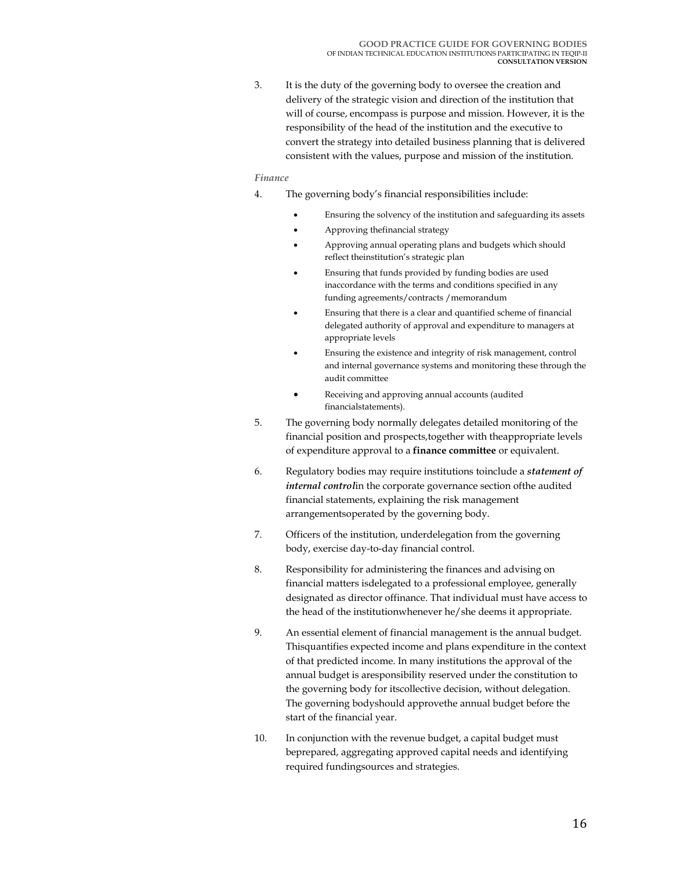3. It is the duty of the governing body to oversee the creation and delivery of the strategic vision and direction of the institution that will of course, encompass is purpose and mission. However, it is the responsibility of the head of the institution and the executive to convert the strategy into detailed business planning that is delivered consistent with the values, purpose and mission of the institution.

#### *Finance*

- 4. The governing body's financial responsibilities include:
	- Ensuring the solvency of the institution and safeguarding its assets
	- Approving thefinancial strategy
	- Approving annual operating plans and budgets which should reflect theinstitution's strategic plan
	- Ensuring that funds provided by funding bodies are used inaccordance with the terms and conditions specified in any funding agreements/contracts /memorandum
	- Ensuring that there is a clear and quantified scheme of financial delegated authority of approval and expenditure to managers at appropriate levels
	- Ensuring the existence and integrity of risk management, control and internal governance systems and monitoring these through the audit committee
	- Receiving and approving annual accounts (audited financialstatements).
- 5. The governing body normally delegates detailed monitoring of the financial position and prospects,together with theappropriate levels of expenditure approval to a **finance committee** or equivalent.
- 6. Regulatory bodies may require institutions toinclude a *statement of internal control*in the corporate governance section ofthe audited financial statements, explaining the risk management arrangementsoperated by the governing body.
- 7. Officers of the institution, underdelegation from the governing body, exercise day-to-day financial control.
- 8. Responsibility for administering the finances and advising on financial matters isdelegated to a professional employee, generally designated as director offinance. That individual must have access to the head of the institutionwhenever he/she deems it appropriate.
- 9. An essential element of financial management is the annual budget. Thisquantifies expected income and plans expenditure in the context of that predicted income. In many institutions the approval of the annual budget is aresponsibility reserved under the constitution to the governing body for itscollective decision, without delegation. The governing bodyshould approvethe annual budget before the start of the financial year.
- 10. In conjunction with the revenue budget, a capital budget must beprepared, aggregating approved capital needs and identifying required fundingsources and strategies.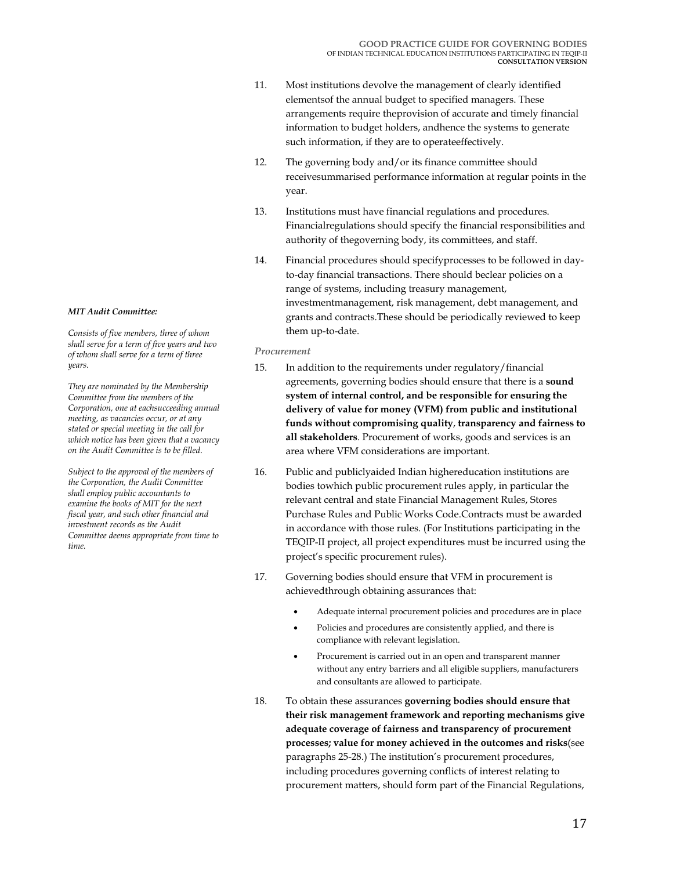- 11. Most institutions devolve the management of clearly identified elementsof the annual budget to specified managers. These arrangements require theprovision of accurate and timely financial information to budget holders, andhence the systems to generate such information, if they are to operateeffectively.
- 12. The governing body and/or its finance committee should receivesummarised performance information at regular points in the year.
- 13. Institutions must have financial regulations and procedures. Financialregulations should specify the financial responsibilities and authority of thegoverning body, its committees, and staff.
- 14. Financial procedures should specifyprocesses to be followed in dayto-day financial transactions. There should beclear policies on a range of systems, including treasury management, investmentmanagement, risk management, debt management, and grants and contracts.These should be periodically reviewed to keep them up-to-date.

#### *Procurement*

- 15. In addition to the requirements under regulatory/financial agreements, governing bodies should ensure that there is a **sound system of internal control, and be responsible for ensuring the delivery of value for money (VFM) from public and institutional funds without compromising quality**, **transparency and fairness to all stakeholders**. Procurement of works, goods and services is an area where VFM considerations are important.
- 16. Public and publiclyaided Indian highereducation institutions are bodies towhich public procurement rules apply, in particular the relevant central and state Financial Management Rules, Stores Purchase Rules and Public Works Code.Contracts must be awarded in accordance with those rules. (For Institutions participating in the TEQIP-II project, all project expenditures must be incurred using the project's specific procurement rules).
- 17. Governing bodies should ensure that VFM in procurement is achievedthrough obtaining assurances that:
	- Adequate internal procurement policies and procedures are in place
	- Policies and procedures are consistently applied, and there is compliance with relevant legislation.
	- Procurement is carried out in an open and transparent manner without any entry barriers and all eligible suppliers, manufacturers and consultants are allowed to participate.
- 18. To obtain these assurances **governing bodies should ensure that their risk management framework and reporting mechanisms give adequate coverage of fairness and transparency of procurement processes; value for money achieved in the outcomes and risks**(see paragraphs 25-28.) The institution's procurement procedures, including procedures governing conflicts of interest relating to procurement matters, should form part of the Financial Regulations,

#### *MIT Audit Committee:*

*Consists of five members, three of whom shall serve for a term of five years and two of whom shall serve for a term of three years.* 

*They are nominated by the Membership Committee from the members of the Corporation, one at eachsucceeding annual meeting, as vacancies occur, or at any stated or special meeting in the call for which notice has been given that a vacancy on the Audit Committee is to be filled.* 

*Subject to the approval of the members of the Corporation, the Audit Committee shall employ public accountants to examine the books of MIT for the next fiscal year, and such other financial and investment records as the Audit Committee deems appropriate from time to time.*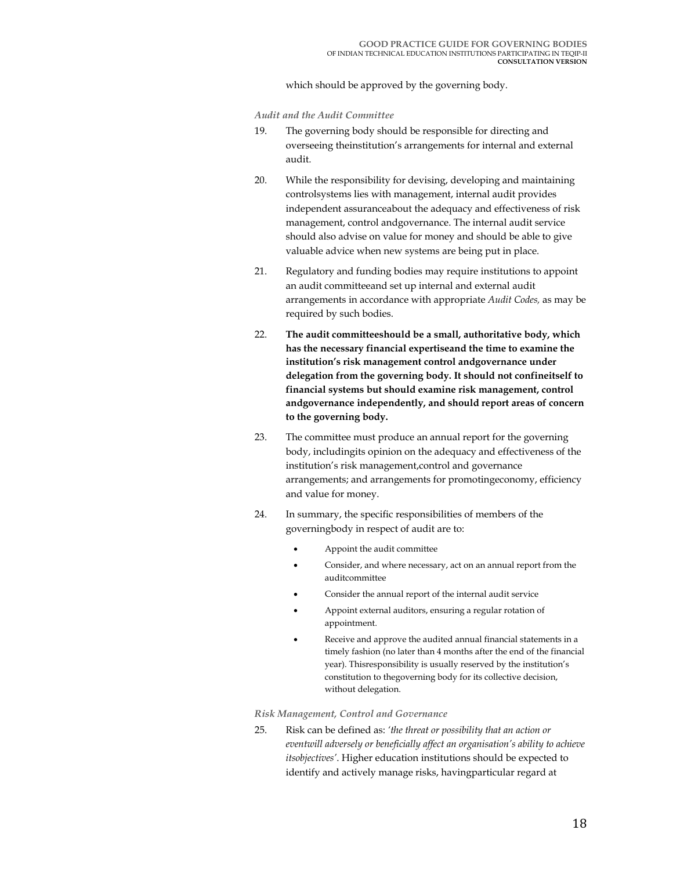which should be approved by the governing body.

*Audit and the Audit Committee* 

- 19. The governing body should be responsible for directing and overseeing theinstitution's arrangements for internal and external audit.
- 20. While the responsibility for devising, developing and maintaining controlsystems lies with management, internal audit provides independent assuranceabout the adequacy and effectiveness of risk management, control andgovernance. The internal audit service should also advise on value for money and should be able to give valuable advice when new systems are being put in place.
- 21. Regulatory and funding bodies may require institutions to appoint an audit committeeand set up internal and external audit arrangements in accordance with appropriate *Audit Codes,* as may be required by such bodies.
- 22. **The audit committeeshould be a small, authoritative body, which has the necessary financial expertiseand the time to examine the institution's risk management control andgovernance under delegation from the governing body. It should not confineitself to financial systems but should examine risk management, control andgovernance independently, and should report areas of concern to the governing body.**
- 23. The committee must produce an annual report for the governing body, includingits opinion on the adequacy and effectiveness of the institution's risk management,control and governance arrangements; and arrangements for promotingeconomy, efficiency and value for money.
- 24. In summary, the specific responsibilities of members of the governingbody in respect of audit are to:
	- Appoint the audit committee
	- Consider, and where necessary, act on an annual report from the auditcommittee
	- Consider the annual report of the internal audit service
	- Appoint external auditors, ensuring a regular rotation of appointment.
	- Receive and approve the audited annual financial statements in a timely fashion (no later than 4 months after the end of the financial year). Thisresponsibility is usually reserved by the institution's constitution to thegoverning body for its collective decision, without delegation.

#### *Risk Management, Control and Governance*

25. Risk can be defined as: *'the threat or possibility that an action or eventwill adversely or beneficially affect an organisation's ability to achieve itsobjectives'*. Higher education institutions should be expected to identify and actively manage risks, havingparticular regard at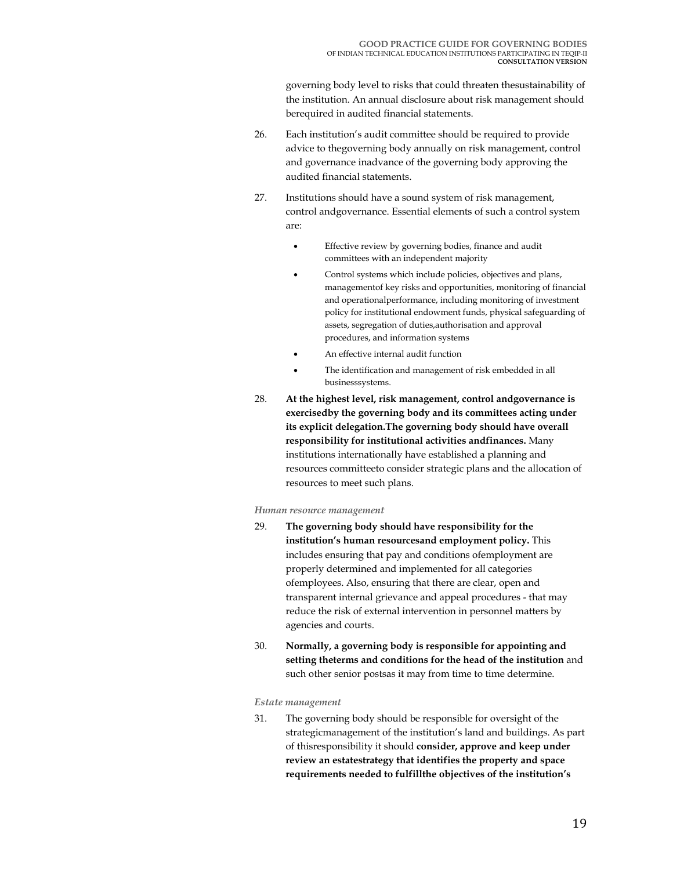governing body level to risks that could threaten thesustainability of the institution. An annual disclosure about risk management should berequired in audited financial statements.

- 26. Each institution's audit committee should be required to provide advice to thegoverning body annually on risk management, control and governance inadvance of the governing body approving the audited financial statements.
- 27. Institutions should have a sound system of risk management, control andgovernance. Essential elements of such a control system are:
	- Effective review by governing bodies, finance and audit committees with an independent majority
	- Control systems which include policies, objectives and plans, managementof key risks and opportunities, monitoring of financial and operationalperformance, including monitoring of investment policy for institutional endowment funds, physical safeguarding of assets, segregation of duties,authorisation and approval procedures, and information systems
	- An effective internal audit function
	- The identification and management of risk embedded in all businesssystems.
- 28. **At the highest level, risk management, control andgovernance is exercisedby the governing body and its committees acting under its explicit delegation.The governing body should have overall responsibility for institutional activities andfinances.** Many institutions internationally have established a planning and resources committeeto consider strategic plans and the allocation of resources to meet such plans.

#### *Human resource management*

- 29. **The governing body should have responsibility for the institution's human resourcesand employment policy.** This includes ensuring that pay and conditions ofemployment are properly determined and implemented for all categories ofemployees. Also, ensuring that there are clear, open and transparent internal grievance and appeal procedures - that may reduce the risk of external intervention in personnel matters by agencies and courts.
- 30. **Normally, a governing body is responsible for appointing and setting theterms and conditions for the head of the institution** and such other senior postsas it may from time to time determine.

#### *Estate management*

31. The governing body should be responsible for oversight of the strategicmanagement of the institution's land and buildings. As part of thisresponsibility it should **consider, approve and keep under review an estatestrategy that identifies the property and space requirements needed to fulfillthe objectives of the institution's**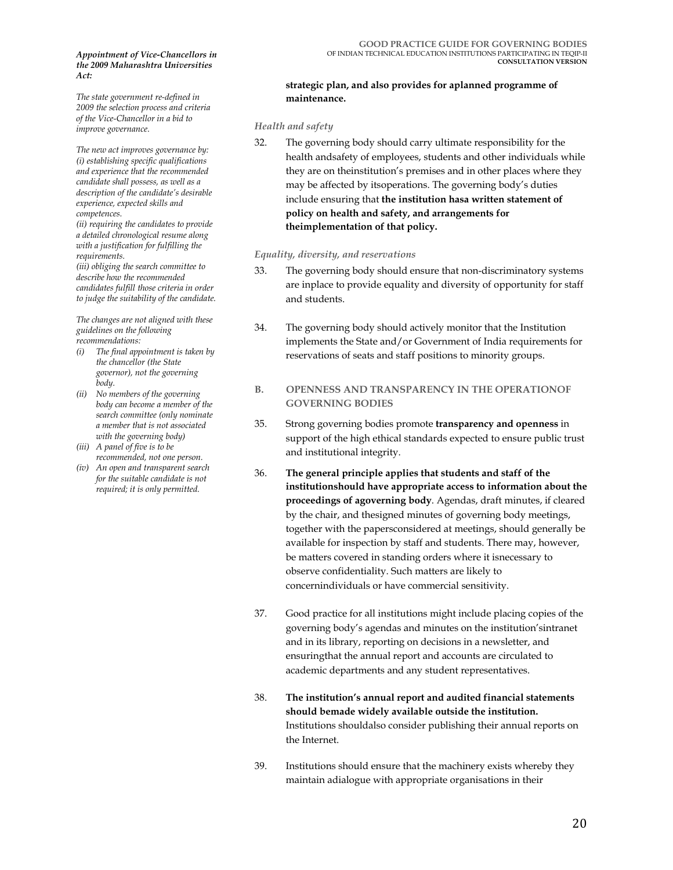#### *Appointment of Vice-Chancellors in the 2009 Maharashtra Universities Act:*

*The state government re-defined in 2009 the selection process and criteria of the Vice-Chancellor in a bid to improve governance.* 

*The new act improves governance by: (i) establishing specific qualifications and experience that the recommended candidate shall possess, as well as a description of the candidate's desirable experience, expected skills and competences.* 

*(ii) requiring the candidates to provide a detailed chronological resume along with a justification for fulfilling the requirements.* 

*(iii) obliging the search committee to describe how the recommended candidates fulfill those criteria in order to judge the suitability of the candidate.* 

*The changes are not aligned with these guidelines on the following recommendations:* 

- *(i) The final appointment is taken by the chancellor (the State governor), not the governing body.*
- *(ii) No members of the governing body can become a member of the search committee (only nominate a member that is not associated with the governing body)*
- *(iii) A panel of five is to be recommended, not one person.*
- *(iv) An open and transparent search for the suitable candidate is not required; it is only permitted.*

#### **strategic plan, and also provides for aplanned programme of maintenance.**

#### *Health and safety*

32. The governing body should carry ultimate responsibility for the health andsafety of employees, students and other individuals while they are on theinstitution's premises and in other places where they may be affected by itsoperations. The governing body's duties include ensuring that **the institution hasa written statement of policy on health and safety, and arrangements for theimplementation of that policy.** 

#### *Equality, diversity, and reservations*

- 33. The governing body should ensure that non-discriminatory systems are inplace to provide equality and diversity of opportunity for staff and students.
- 34. The governing body should actively monitor that the Institution implements the State and/or Government of India requirements for reservations of seats and staff positions to minority groups.
- **B. OPENNESS AND TRANSPARENCY IN THE OPERATIONOF GOVERNING BODIES**
- 35. Strong governing bodies promote **transparency and openness** in support of the high ethical standards expected to ensure public trust and institutional integrity.
- 36. **The general principle applies that students and staff of the institutionshould have appropriate access to information about the proceedings of agoverning body**. Agendas, draft minutes, if cleared by the chair, and thesigned minutes of governing body meetings, together with the papersconsidered at meetings, should generally be available for inspection by staff and students. There may, however, be matters covered in standing orders where it isnecessary to observe confidentiality. Such matters are likely to concernindividuals or have commercial sensitivity.
- 37. Good practice for all institutions might include placing copies of the governing body's agendas and minutes on the institution'sintranet and in its library, reporting on decisions in a newsletter, and ensuringthat the annual report and accounts are circulated to academic departments and any student representatives.
- 38. **The institution's annual report and audited financial statements should bemade widely available outside the institution.**  Institutions shouldalso consider publishing their annual reports on the Internet.
- 39. Institutions should ensure that the machinery exists whereby they maintain adialogue with appropriate organisations in their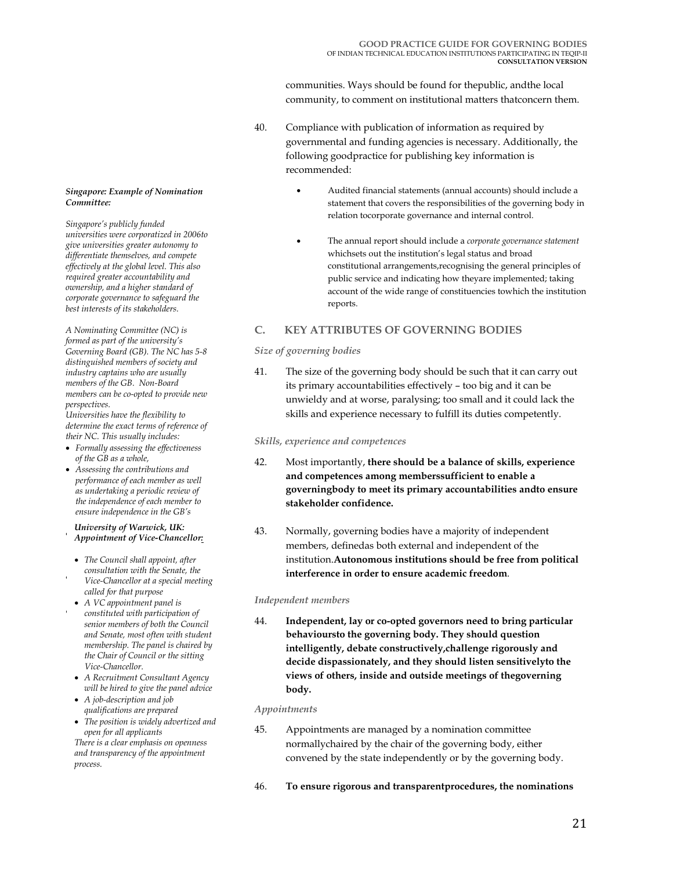communities. Ways should be found for thepublic, andthe local community, to comment on institutional matters thatconcern them.

- 40. Compliance with publication of information as required by governmental and funding agencies is necessary. Additionally, the following goodpractice for publishing key information is recommended:
	- Audited financial statements (annual accounts) should include a statement that covers the responsibilities of the governing body in relation tocorporate governance and internal control.
	- The annual report should include a *corporate governance statement* whichsets out the institution's legal status and broad constitutional arrangements,recognising the general principles of public service and indicating how theyare implemented; taking account of the wide range of constituencies towhich the institution reports.

## **C. KEY ATTRIBUTES OF GOVERNING BODIES**

#### *Size of governing bodies*

41. The size of the governing body should be such that it can carry out its primary accountabilities effectively – too big and it can be unwieldy and at worse, paralysing; too small and it could lack the skills and experience necessary to fulfill its duties competently.

#### *Skills, experience and competences*

- 42. Most importantly, **there should be a balance of skills, experience and competences among memberssufficient to enable a governingbody to meet its primary accountabilities andto ensure stakeholder confidence.**
- 43. Normally, governing bodies have a majority of independent members, definedas both external and independent of the institution.**Autonomous institutions should be free from political interference in order to ensure academic freedom**.

#### *Independent members*

44. **Independent, lay or co-opted governors need to bring particular behavioursto the governing body. They should question intelligently, debate constructively,challenge rigorously and decide dispassionately, and they should listen sensitivelyto the views of others, inside and outside meetings of thegoverning body.** 

#### *Appointments*

- 45. Appointments are managed by a nomination committee normallychaired by the chair of the governing body, either convened by the state independently or by the governing body.
- 46. **To ensure rigorous and transparentprocedures, the nominations**

#### *Singapore: Example of Nomination Committee:*

*Singapore's publicly funded universities were corporatized in 2006to give universities greater autonomy to differentiate themselves, and compete effectively at the global level. This also required greater accountability and ownership, and a higher standard of corporate governance to safeguard the best interests of its stakeholders.* 

*A Nominating Committee (NC) is formed as part of the university's Governing Board (GB). The NC has 5-8 distinguished members of society and industry captains who are usually members of the GB. Non-Board members can be co-opted to provide new perspectives.* 

*Universities have the flexibility to determine the exact terms of reference of their NC. This usually includes:* 

- *Formally assessing the effectiveness of the GB as a whole,*
- *Assessing the contributions and performance of each member as well as undertaking a periodic review of the independence of each member to ensure independence in the GB's*

*decision-making process. University of Warwick, UK:*  • *Developing and maintaining a formal and transparent framework Appointment of Vice-Chancellor:*

- *for the nominations and re- The Council shall appoint, after no* connect that appearing age:<br>
consultation with the Senate, the • *Indentifying the skills mix, Vice-Chancellor at a special meeting expertiseand experience required in called for that purpose*
- *the GB for effective decision making. A VC appointment panel is*  • *Staggering the timing for new and constituted with participation of senior members of both the Council combination of old and new and Senate, most often with student membership. The panel is chaired by the Chair of Council or the sitting*  $Vice-Chancellor.$ 
	- *A Recruitment Consultant Agency will be hired to give the panel advice*
	- *A job-description and job qualifications are prepared*
	- *The position is widely advertized and open for all applicants*

*There is a clear emphasis on openness and transparency of the appointment process.*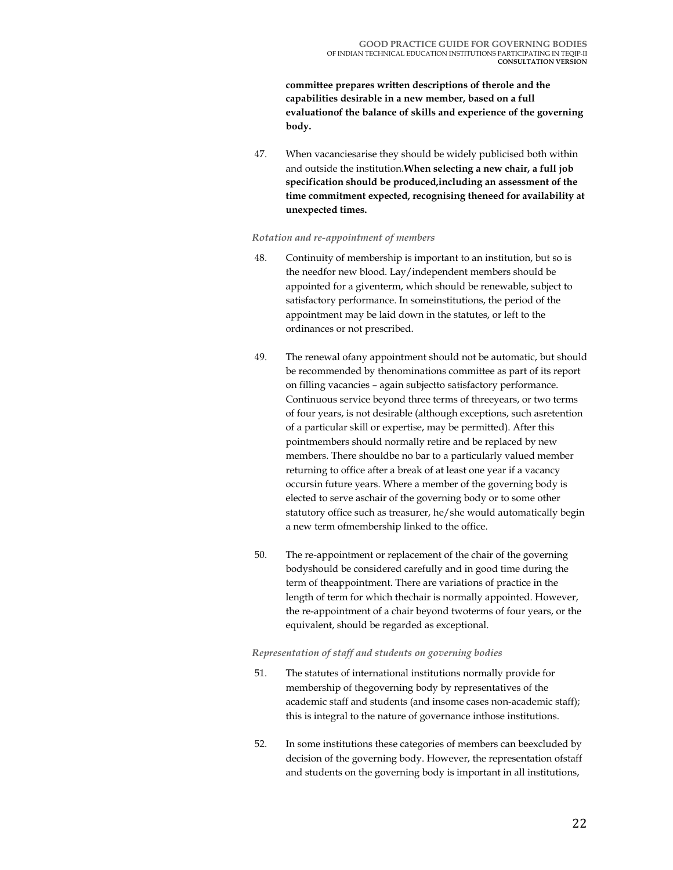**committee prepares written descriptions of therole and the capabilities desirable in a new member, based on a full evaluationof the balance of skills and experience of the governing body.** 

47. When vacanciesarise they should be widely publicised both within and outside the institution.**When selecting a new chair, a full job specification should be produced,including an assessment of the time commitment expected, recognising theneed for availability at unexpected times.**

#### *Rotation and re-appointment of members*

- 48. Continuity of membership is important to an institution, but so is the needfor new blood. Lay/independent members should be appointed for a giventerm, which should be renewable, subject to satisfactory performance. In someinstitutions, the period of the appointment may be laid down in the statutes, or left to the ordinances or not prescribed.
- 49. The renewal ofany appointment should not be automatic, but should be recommended by thenominations committee as part of its report on filling vacancies – again subjectto satisfactory performance. Continuous service beyond three terms of threeyears, or two terms of four years, is not desirable (although exceptions, such asretention of a particular skill or expertise, may be permitted). After this pointmembers should normally retire and be replaced by new members. There shouldbe no bar to a particularly valued member returning to office after a break of at least one year if a vacancy occursin future years. Where a member of the governing body is elected to serve aschair of the governing body or to some other statutory office such as treasurer, he/she would automatically begin a new term ofmembership linked to the office.
- 50. The re-appointment or replacement of the chair of the governing bodyshould be considered carefully and in good time during the term of theappointment. There are variations of practice in the length of term for which thechair is normally appointed. However, the re-appointment of a chair beyond twoterms of four years, or the equivalent, should be regarded as exceptional.

#### *Representation of staff and students on governing bodies*

- 51. The statutes of international institutions normally provide for membership of thegoverning body by representatives of the academic staff and students (and insome cases non-academic staff); this is integral to the nature of governance inthose institutions.
- 52. In some institutions these categories of members can beexcluded by decision of the governing body. However, the representation ofstaff and students on the governing body is important in all institutions,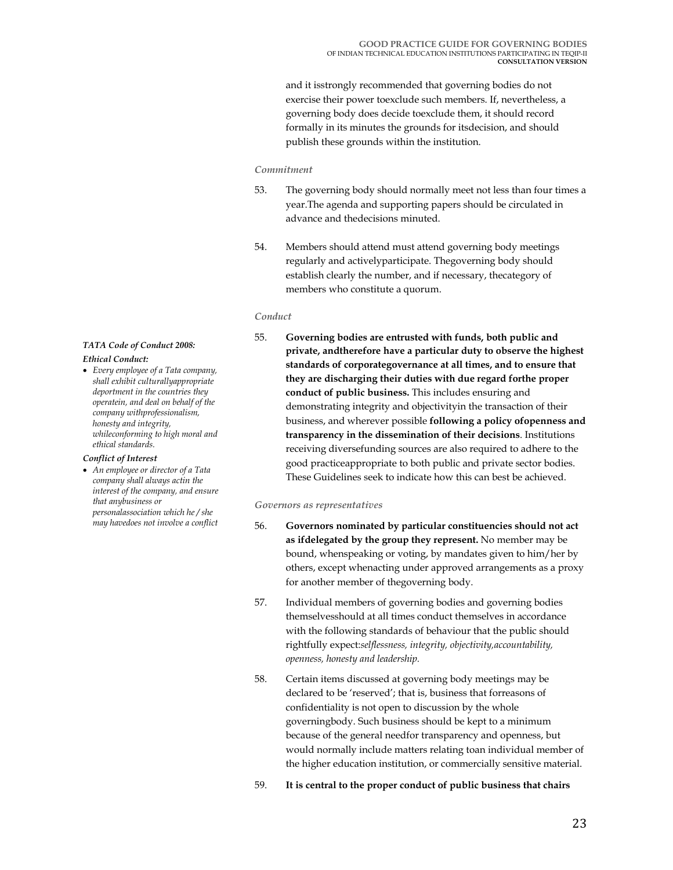and it isstrongly recommended that governing bodies do not exercise their power toexclude such members. If, nevertheless, a governing body does decide toexclude them, it should record formally in its minutes the grounds for itsdecision, and should publish these grounds within the institution.

#### *Commitment*

- 53. The governing body should normally meet not less than four times a year.The agenda and supporting papers should be circulated in advance and thedecisions minuted.
- 54. Members should attend must attend governing body meetings regularly and activelyparticipate. Thegoverning body should establish clearly the number, and if necessary, thecategory of members who constitute a quorum.

#### *Conduct*

55. **Governing bodies are entrusted with funds, both public and private, andtherefore have a particular duty to observe the highest standards of corporategovernance at all times, and to ensure that they are discharging their duties with due regard forthe proper conduct of public business.** This includes ensuring and demonstrating integrity and objectivityin the transaction of their business, and wherever possible **following a policy ofopenness and transparency in the dissemination of their decisions**. Institutions receiving diversefunding sources are also required to adhere to the good practiceappropriate to both public and private sector bodies. These Guidelines seek to indicate how this can best be achieved.

#### *Governors as representatives*

- 56. **Governors nominated by particular constituencies should not act as ifdelegated by the group they represent.** No member may be bound, whenspeaking or voting, by mandates given to him/her by others, except whenacting under approved arrangements as a proxy for another member of thegoverning body.
- 57. Individual members of governing bodies and governing bodies themselvesshould at all times conduct themselves in accordance with the following standards of behaviour that the public should rightfully expect:*selflessness, integrity, objectivity,accountability, openness, honesty and leadership.*
- 58. Certain items discussed at governing body meetings may be declared to be 'reserved'; that is, business that forreasons of confidentiality is not open to discussion by the whole governingbody. Such business should be kept to a minimum because of the general needfor transparency and openness, but would normally include matters relating toan individual member of the higher education institution, or commercially sensitive material.
- 59. **It is central to the proper conduct of public business that chairs**

## *TATA Code of Conduct 2008:*

#### *Ethical Conduct:*

• *Every employee of a Tata company, shall exhibit culturallyappropriate deportment in the countries they operatein, and deal on behalf of the company withprofessionalism, honesty and integrity, whileconforming to high moral and ethical standards.* 

#### *Conflict of Interest*

• *An employee or director of a Tata company shall always actin the interest of the company, and ensure that anybusiness or personalassociation which he / she may havedoes not involve a conflict*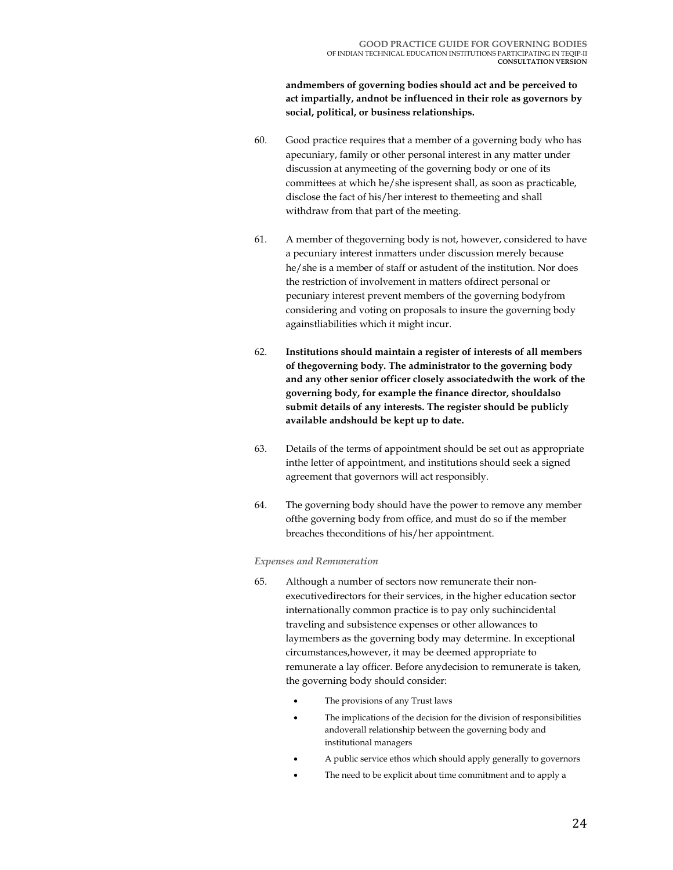**andmembers of governing bodies should act and be perceived to act impartially, andnot be influenced in their role as governors by social, political, or business relationships.**

- 60. Good practice requires that a member of a governing body who has apecuniary, family or other personal interest in any matter under discussion at anymeeting of the governing body or one of its committees at which he/she ispresent shall, as soon as practicable, disclose the fact of his/her interest to themeeting and shall withdraw from that part of the meeting.
- 61. A member of thegoverning body is not, however, considered to have a pecuniary interest inmatters under discussion merely because he/she is a member of staff or astudent of the institution. Nor does the restriction of involvement in matters ofdirect personal or pecuniary interest prevent members of the governing bodyfrom considering and voting on proposals to insure the governing body againstliabilities which it might incur.
- 62. **Institutions should maintain a register of interests of all members of thegoverning body. The administrator to the governing body and any other senior officer closely associatedwith the work of the governing body, for example the finance director, shouldalso submit details of any interests. The register should be publicly available andshould be kept up to date.**
- 63. Details of the terms of appointment should be set out as appropriate inthe letter of appointment, and institutions should seek a signed agreement that governors will act responsibly.
- 64. The governing body should have the power to remove any member ofthe governing body from office, and must do so if the member breaches theconditions of his/her appointment.

#### *Expenses and Remuneration*

- 65. Although a number of sectors now remunerate their nonexecutivedirectors for their services, in the higher education sector internationally common practice is to pay only suchincidental traveling and subsistence expenses or other allowances to laymembers as the governing body may determine. In exceptional circumstances,however, it may be deemed appropriate to remunerate a lay officer. Before anydecision to remunerate is taken, the governing body should consider:
	- The provisions of any Trust laws
	- The implications of the decision for the division of responsibilities andoverall relationship between the governing body and institutional managers
	- A public service ethos which should apply generally to governors
	- The need to be explicit about time commitment and to apply a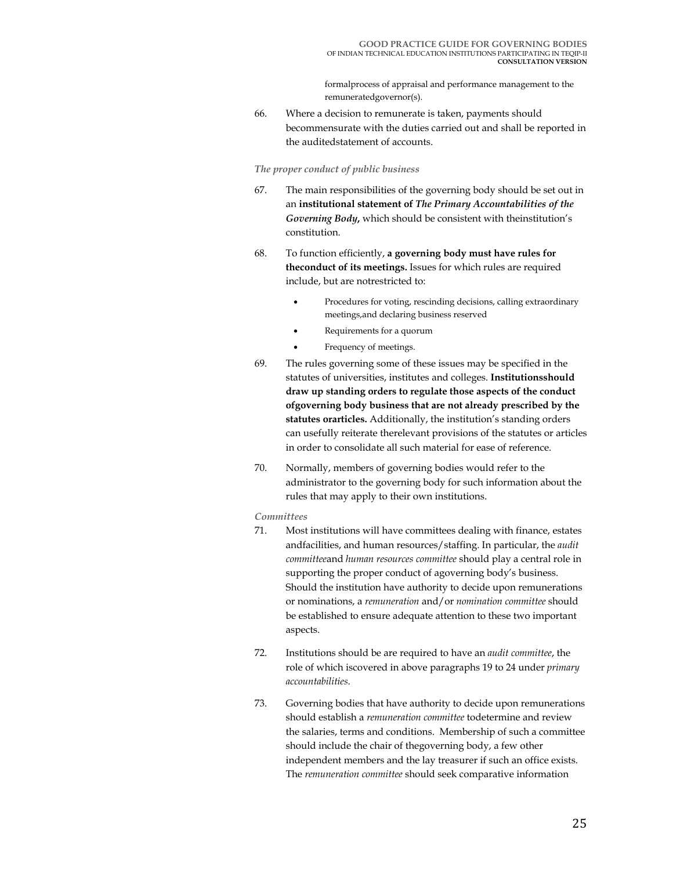formalprocess of appraisal and performance management to the remuneratedgovernor(s).

66. Where a decision to remunerate is taken, payments should becommensurate with the duties carried out and shall be reported in the auditedstatement of accounts.

#### *The proper conduct of public business*

- 67. The main responsibilities of the governing body should be set out in an **institutional statement of** *The Primary Accountabilities of the Governing Body***,** which should be consistent with theinstitution's constitution.
- 68. To function efficiently, **a governing body must have rules for theconduct of its meetings.** Issues for which rules are required include, but are notrestricted to:
	- Procedures for voting, rescinding decisions, calling extraordinary meetings,and declaring business reserved
	- Requirements for a quorum
	- Frequency of meetings.
- 69. The rules governing some of these issues may be specified in the statutes of universities, institutes and colleges. **Institutionsshould draw up standing orders to regulate those aspects of the conduct ofgoverning body business that are not already prescribed by the statutes orarticles.** Additionally, the institution's standing orders can usefully reiterate therelevant provisions of the statutes or articles in order to consolidate all such material for ease of reference.
- 70. Normally, members of governing bodies would refer to the administrator to the governing body for such information about the rules that may apply to their own institutions.

#### *Committees*

- 71. Most institutions will have committees dealing with finance, estates andfacilities, and human resources/staffing. In particular, the *audit committee*and *human resources committee* should play a central role in supporting the proper conduct of agoverning body's business. Should the institution have authority to decide upon remunerations or nominations, a *remuneration* and/or *nomination committee* should be established to ensure adequate attention to these two important aspects.
- 72. Institutions should be are required to have an *audit committee*, the role of which iscovered in above paragraphs 19 to 24 under *primary accountabilities*.
- 73. Governing bodies that have authority to decide upon remunerations should establish a *remuneration committee* todetermine and review the salaries, terms and conditions. Membership of such a committee should include the chair of thegoverning body, a few other independent members and the lay treasurer if such an office exists. The *remuneration committee* should seek comparative information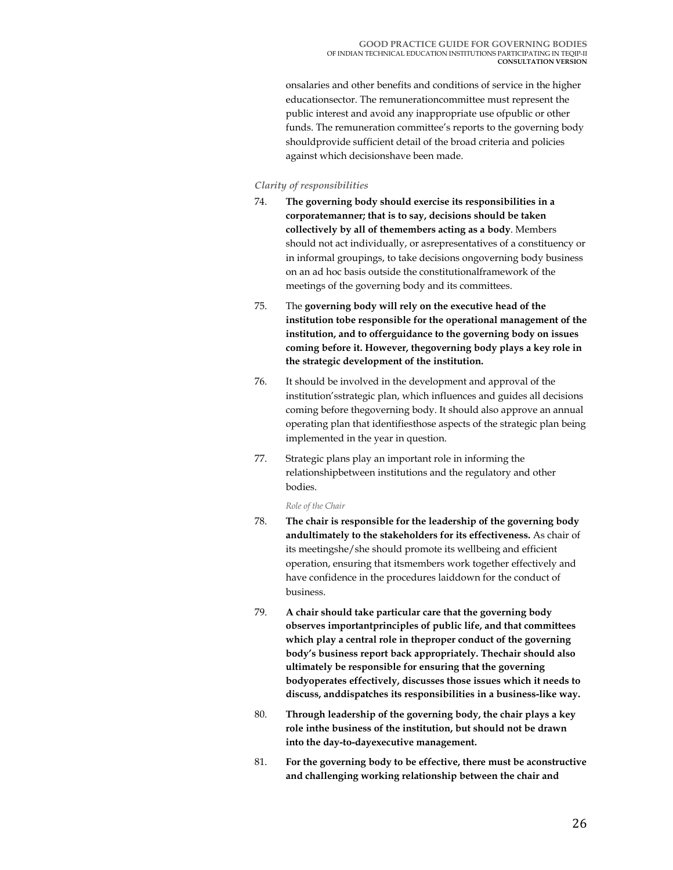onsalaries and other benefits and conditions of service in the higher educationsector. The remunerationcommittee must represent the public interest and avoid any inappropriate use ofpublic or other funds. The remuneration committee's reports to the governing body shouldprovide sufficient detail of the broad criteria and policies against which decisionshave been made.

#### *Clarity of responsibilities*

- 74. **The governing body should exercise its responsibilities in a corporatemanner; that is to say, decisions should be taken collectively by all of themembers acting as a body**. Members should not act individually, or asrepresentatives of a constituency or in informal groupings, to take decisions ongoverning body business on an ad hoc basis outside the constitutionalframework of the meetings of the governing body and its committees.
- 75. The **governing body will rely on the executive head of the institution tobe responsible for the operational management of the institution, and to offerguidance to the governing body on issues coming before it. However, thegoverning body plays a key role in the strategic development of the institution.**
- 76. It should be involved in the development and approval of the institution'sstrategic plan, which influences and guides all decisions coming before thegoverning body. It should also approve an annual operating plan that identifiesthose aspects of the strategic plan being implemented in the year in question.
- 77. Strategic plans play an important role in informing the relationshipbetween institutions and the regulatory and other bodies.

*Role of the Chair* 

- 78. **The chair is responsible for the leadership of the governing body andultimately to the stakeholders for its effectiveness.** As chair of its meetingshe/she should promote its wellbeing and efficient operation, ensuring that itsmembers work together effectively and have confidence in the procedures laiddown for the conduct of business.
- 79. **A chair should take particular care that the governing body observes importantprinciples of public life, and that committees which play a central role in theproper conduct of the governing body's business report back appropriately. Thechair should also ultimately be responsible for ensuring that the governing bodyoperates effectively, discusses those issues which it needs to discuss, anddispatches its responsibilities in a business-like way.**
- 80. **Through leadership of the governing body, the chair plays a key role inthe business of the institution, but should not be drawn into the day-to-dayexecutive management.**
- 81. **For the governing body to be effective, there must be aconstructive and challenging working relationship between the chair and**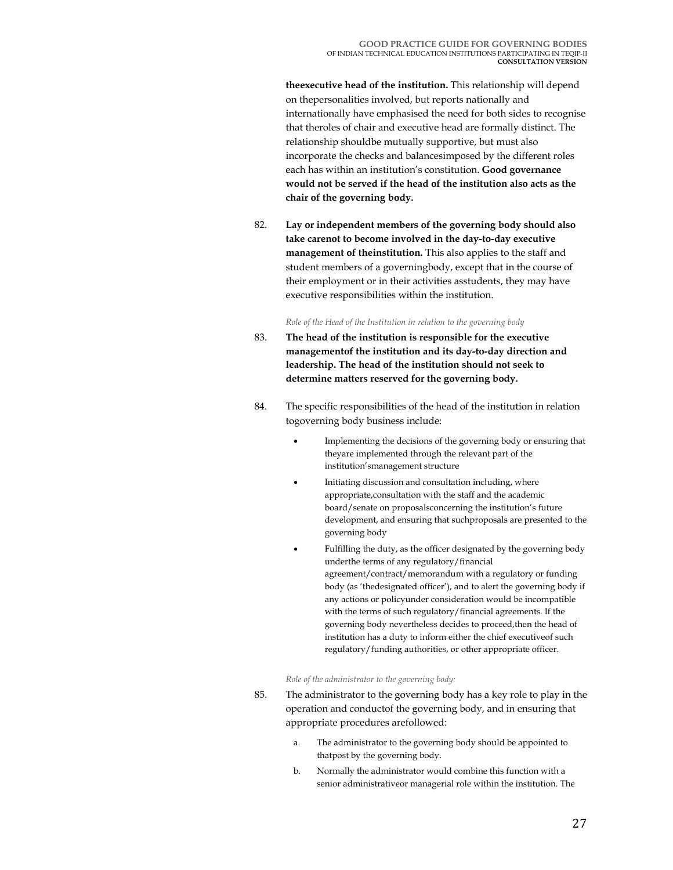**theexecutive head of the institution.** This relationship will depend on thepersonalities involved, but reports nationally and internationally have emphasised the need for both sides to recognise that theroles of chair and executive head are formally distinct. The relationship shouldbe mutually supportive, but must also incorporate the checks and balancesimposed by the different roles each has within an institution's constitution. **Good governance would not be served if the head of the institution also acts as the chair of the governing body.**

82. **Lay or independent members of the governing body should also take carenot to become involved in the day-to-day executive management of theinstitution.** This also applies to the staff and student members of a governingbody, except that in the course of their employment or in their activities asstudents, they may have executive responsibilities within the institution.

#### *Role of the Head of the Institution in relation to the governing body*

- 83. **The head of the institution is responsible for the executive managementof the institution and its day-to-day direction and leadership. The head of the institution should not seek to determine matters reserved for the governing body.**
- 84. The specific responsibilities of the head of the institution in relation togoverning body business include:
	- Implementing the decisions of the governing body or ensuring that theyare implemented through the relevant part of the institution'smanagement structure
	- Initiating discussion and consultation including, where appropriate,consultation with the staff and the academic board/senate on proposalsconcerning the institution's future development, and ensuring that suchproposals are presented to the governing body
	- Fulfilling the duty, as the officer designated by the governing body underthe terms of any regulatory/financial agreement/contract/memorandum with a regulatory or funding body (as 'thedesignated officer'), and to alert the governing body if any actions or policyunder consideration would be incompatible with the terms of such regulatory/financial agreements. If the governing body nevertheless decides to proceed,then the head of institution has a duty to inform either the chief executiveof such regulatory/funding authorities, or other appropriate officer.

#### *Role of the administrator to the governing body:*

- 85. The administrator to the governing body has a key role to play in the operation and conductof the governing body, and in ensuring that appropriate procedures arefollowed:
	- a. The administrator to the governing body should be appointed to thatpost by the governing body.
	- b. Normally the administrator would combine this function with a senior administrativeor managerial role within the institution. The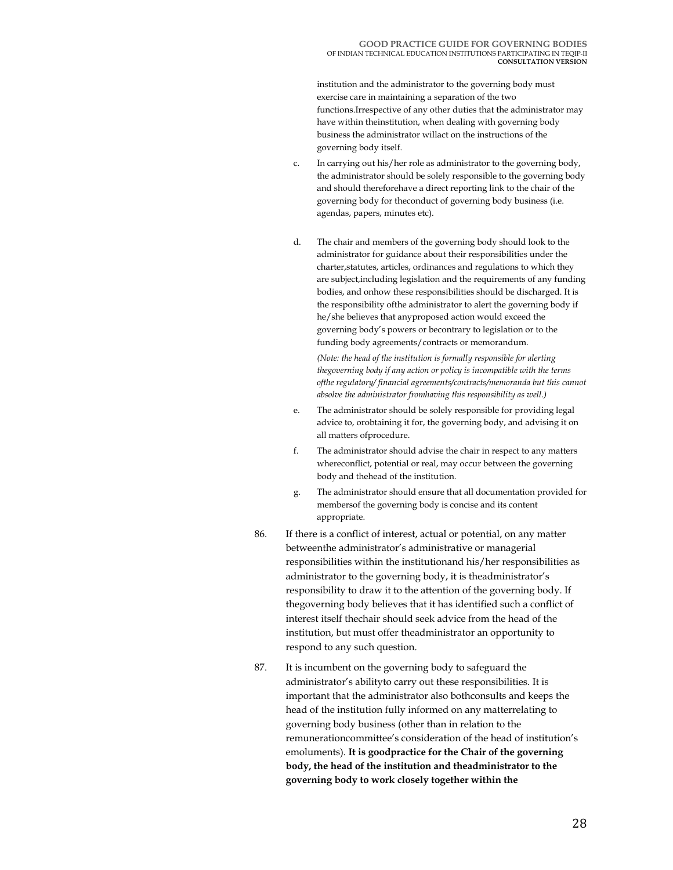institution and the administrator to the governing body must exercise care in maintaining a separation of the two functions.Irrespective of any other duties that the administrator may have within theinstitution, when dealing with governing body business the administrator willact on the instructions of the governing body itself.

- c. In carrying out his/her role as administrator to the governing body, the administrator should be solely responsible to the governing body and should thereforehave a direct reporting link to the chair of the governing body for theconduct of governing body business (i.e. agendas, papers, minutes etc).
- d. The chair and members of the governing body should look to the administrator for guidance about their responsibilities under the charter,statutes, articles, ordinances and regulations to which they are subject,including legislation and the requirements of any funding bodies, and onhow these responsibilities should be discharged. It is the responsibility ofthe administrator to alert the governing body if he/she believes that anyproposed action would exceed the governing body's powers or becontrary to legislation or to the funding body agreements/contracts or memorandum.

*(Note: the head of the institution is formally responsible for alerting thegoverning body if any action or policy is incompatible with the terms ofthe regulatory/ financial agreements/contracts/memoranda but this cannot absolve the administrator fromhaving this responsibility as well.)* 

- e. The administrator should be solely responsible for providing legal advice to, orobtaining it for, the governing body, and advising it on all matters ofprocedure.
- f. The administrator should advise the chair in respect to any matters whereconflict, potential or real, may occur between the governing body and thehead of the institution.
- g. The administrator should ensure that all documentation provided for membersof the governing body is concise and its content appropriate.
- 86. If there is a conflict of interest, actual or potential, on any matter betweenthe administrator's administrative or managerial responsibilities within the institutionand his/her responsibilities as administrator to the governing body, it is theadministrator's responsibility to draw it to the attention of the governing body. If thegoverning body believes that it has identified such a conflict of interest itself thechair should seek advice from the head of the institution, but must offer theadministrator an opportunity to respond to any such question.
- 87. It is incumbent on the governing body to safeguard the administrator's abilityto carry out these responsibilities. It is important that the administrator also bothconsults and keeps the head of the institution fully informed on any matterrelating to governing body business (other than in relation to the remunerationcommittee's consideration of the head of institution's emoluments). **It is goodpractice for the Chair of the governing body, the head of the institution and theadministrator to the governing body to work closely together within the**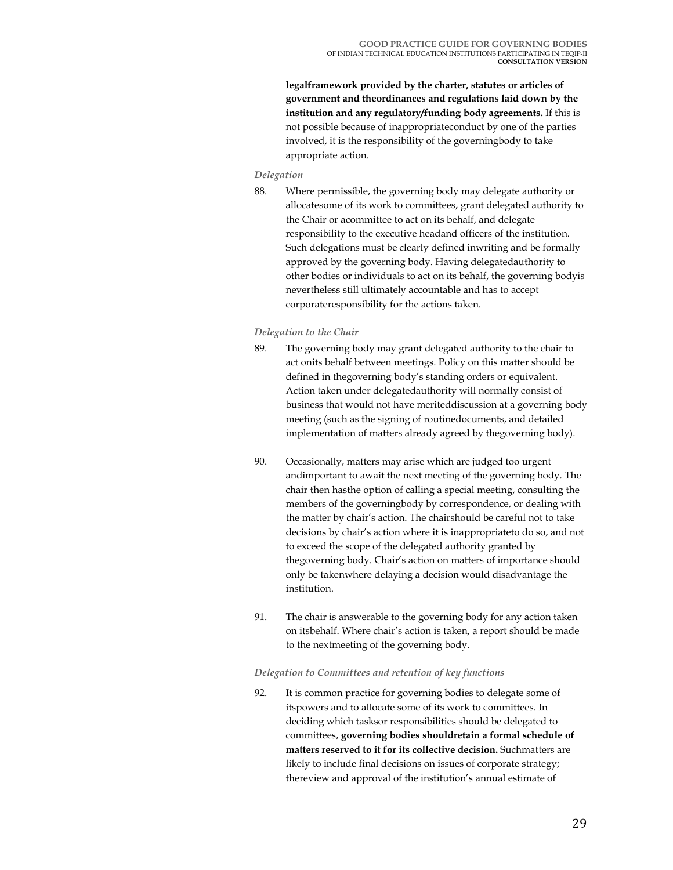**legalframework provided by the charter, statutes or articles of government and theordinances and regulations laid down by the institution and any regulatory/funding body agreements.** If this is not possible because of inappropriateconduct by one of the parties involved, it is the responsibility of the governingbody to take appropriate action.

## *Delegation*

88. Where permissible, the governing body may delegate authority or allocatesome of its work to committees, grant delegated authority to the Chair or acommittee to act on its behalf, and delegate responsibility to the executive headand officers of the institution. Such delegations must be clearly defined inwriting and be formally approved by the governing body. Having delegatedauthority to other bodies or individuals to act on its behalf, the governing bodyis nevertheless still ultimately accountable and has to accept corporateresponsibility for the actions taken.

#### *Delegation to the Chair*

- 89. The governing body may grant delegated authority to the chair to act onits behalf between meetings. Policy on this matter should be defined in thegoverning body's standing orders or equivalent. Action taken under delegatedauthority will normally consist of business that would not have meriteddiscussion at a governing body meeting (such as the signing of routinedocuments, and detailed implementation of matters already agreed by thegoverning body).
- 90. Occasionally, matters may arise which are judged too urgent andimportant to await the next meeting of the governing body. The chair then hasthe option of calling a special meeting, consulting the members of the governingbody by correspondence, or dealing with the matter by chair's action. The chairshould be careful not to take decisions by chair's action where it is inappropriateto do so, and not to exceed the scope of the delegated authority granted by thegoverning body. Chair's action on matters of importance should only be takenwhere delaying a decision would disadvantage the institution.
- 91. The chair is answerable to the governing body for any action taken on itsbehalf. Where chair's action is taken, a report should be made to the nextmeeting of the governing body.

#### *Delegation to Committees and retention of key functions*

92. It is common practice for governing bodies to delegate some of itspowers and to allocate some of its work to committees. In deciding which tasksor responsibilities should be delegated to committees, **governing bodies shouldretain a formal schedule of matters reserved to it for its collective decision.** Suchmatters are likely to include final decisions on issues of corporate strategy; thereview and approval of the institution's annual estimate of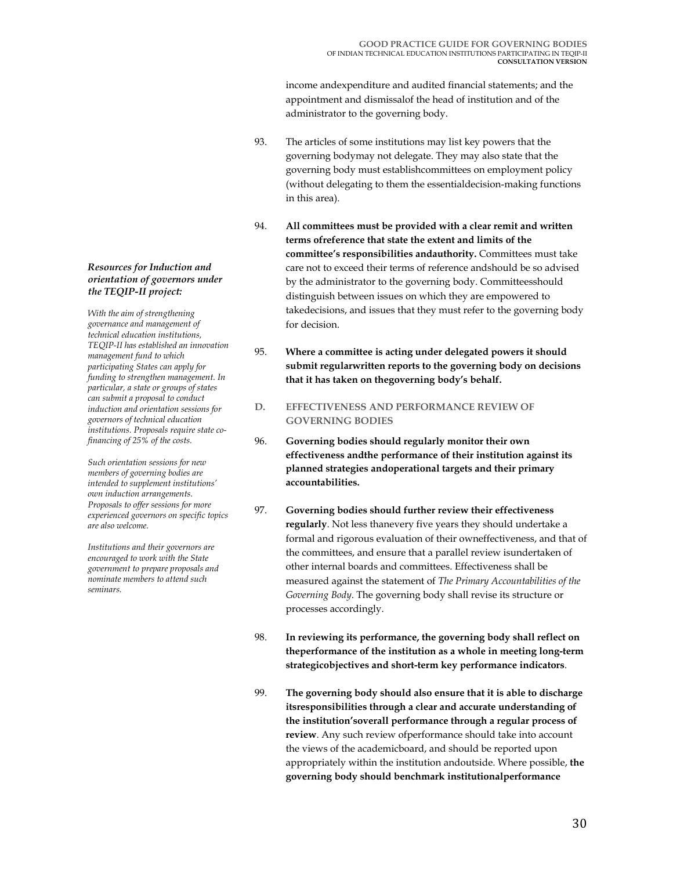income andexpenditure and audited financial statements; and the appointment and dismissalof the head of institution and of the administrator to the governing body.

- 93. The articles of some institutions may list key powers that the governing bodymay not delegate. They may also state that the governing body must establishcommittees on employment policy (without delegating to them the essentialdecision-making functions in this area).
- 94. **All committees must be provided with a clear remit and written terms ofreference that state the extent and limits of the committee's responsibilities andauthority.** Committees must take care not to exceed their terms of reference andshould be so advised by the administrator to the governing body. Committeesshould distinguish between issues on which they are empowered to takedecisions, and issues that they must refer to the governing body for decision.
- 95. **Where a committee is acting under delegated powers it should submit regularwritten reports to the governing body on decisions that it has taken on thegoverning body's behalf.**
- **D. EFFECTIVENESS AND PERFORMANCE REVIEW OF GOVERNING BODIES**
- 96. **Governing bodies should regularly monitor their own effectiveness andthe performance of their institution against its planned strategies andoperational targets and their primary accountabilities.**
- 97. **Governing bodies should further review their effectiveness regularly**. Not less thanevery five years they should undertake a formal and rigorous evaluation of their owneffectiveness, and that of the committees, and ensure that a parallel review isundertaken of other internal boards and committees. Effectiveness shall be measured against the statement of *The Primary Accountabilities of the Governing Body*. The governing body shall revise its structure or processes accordingly.
- 98. **In reviewing its performance, the governing body shall reflect on theperformance of the institution as a whole in meeting long-term strategicobjectives and short-term key performance indicators**.
- 99. **The governing body should also ensure that it is able to discharge itsresponsibilities through a clear and accurate understanding of the institution'soverall performance through a regular process of review**. Any such review ofperformance should take into account the views of the academicboard, and should be reported upon appropriately within the institution andoutside. Where possible, **the governing body should benchmark institutionalperformance**

#### *Resources for Induction and orientation of governors under the TEQIP-II project:*

*With the aim of strengthening governance and management of technical education institutions, TEQIP-II has established an innovation management fund to which participating States can apply for funding to strengthen management. In particular, a state or groups of states can submit a proposal to conduct induction and orientation sessions for governors of technical education institutions. Proposals require state cofinancing of 25% of the costs.* 

*Such orientation sessions for new members of governing bodies are intended to supplement institutions' own induction arrangements. Proposals to offer sessions for more experienced governors on specific topics are also welcome.* 

*Institutions and their governors are encouraged to work with the State government to prepare proposals and nominate members to attend such seminars.*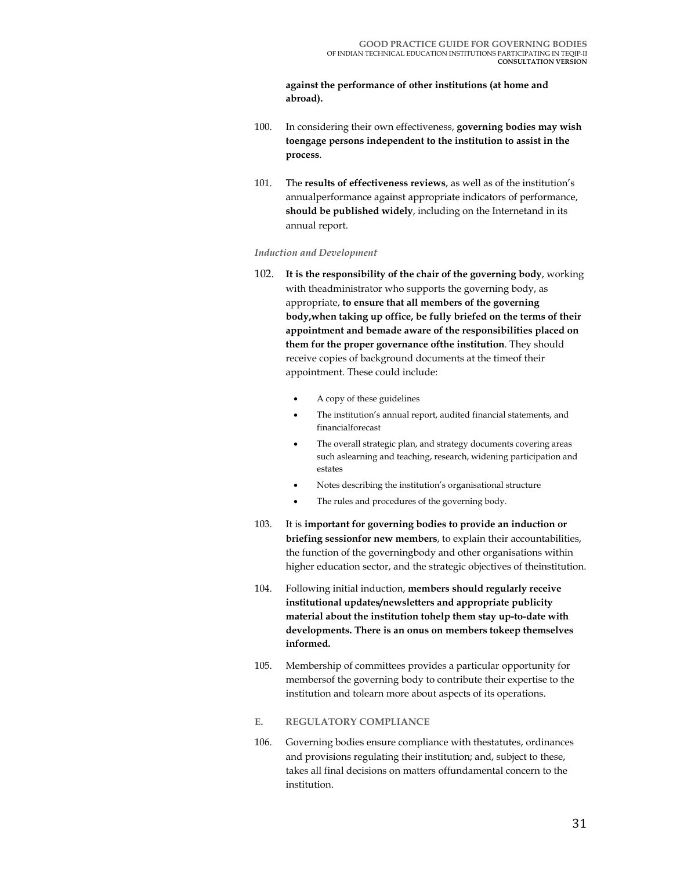#### **against the performance of other institutions (at home and abroad).**

- 100. In considering their own effectiveness, **governing bodies may wish toengage persons independent to the institution to assist in the process**.
- 101. The **results of effectiveness reviews**, as well as of the institution's annualperformance against appropriate indicators of performance, **should be published widely**, including on the Internetand in its annual report.

#### *Induction and Development*

- 102. **It is the responsibility of the chair of the governing body**, working with theadministrator who supports the governing body, as appropriate, **to ensure that all members of the governing body,when taking up office, be fully briefed on the terms of their appointment and bemade aware of the responsibilities placed on them for the proper governance ofthe institution**. They should receive copies of background documents at the timeof their appointment. These could include:
	- A copy of these guidelines
	- The institution's annual report, audited financial statements, and financialforecast
	- The overall strategic plan, and strategy documents covering areas such aslearning and teaching, research, widening participation and estates
	- Notes describing the institution's organisational structure
	- The rules and procedures of the governing body.
- 103. It is **important for governing bodies to provide an induction or briefing sessionfor new members**, to explain their accountabilities, the function of the governingbody and other organisations within higher education sector, and the strategic objectives of theinstitution.
- 104. Following initial induction, **members should regularly receive institutional updates/newsletters and appropriate publicity material about the institution tohelp them stay up-to-date with developments. There is an onus on members tokeep themselves informed.**
- 105. Membership of committees provides a particular opportunity for membersof the governing body to contribute their expertise to the institution and tolearn more about aspects of its operations.
- **E. REGULATORY COMPLIANCE**
- 106. Governing bodies ensure compliance with thestatutes, ordinances and provisions regulating their institution; and, subject to these, takes all final decisions on matters offundamental concern to the institution.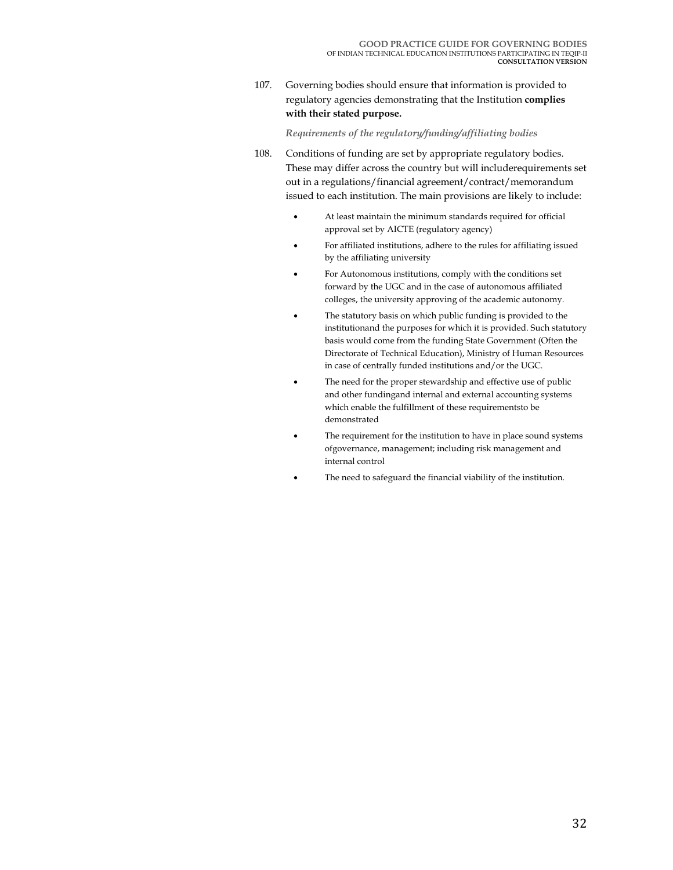107. Governing bodies should ensure that information is provided to regulatory agencies demonstrating that the Institution **complies with their stated purpose.**

### *Requirements of the regulatory/funding/affiliating bodies*

- 108. Conditions of funding are set by appropriate regulatory bodies. These may differ across the country but will includerequirements set out in a regulations/financial agreement/contract/memorandum issued to each institution. The main provisions are likely to include:
	- At least maintain the minimum standards required for official approval set by AICTE (regulatory agency)
	- For affiliated institutions, adhere to the rules for affiliating issued by the affiliating university
	- For Autonomous institutions, comply with the conditions set forward by the UGC and in the case of autonomous affiliated colleges, the university approving of the academic autonomy.
	- The statutory basis on which public funding is provided to the institutionand the purposes for which it is provided. Such statutory basis would come from the funding State Government (Often the Directorate of Technical Education), Ministry of Human Resources in case of centrally funded institutions and/or the UGC.
	- The need for the proper stewardship and effective use of public and other fundingand internal and external accounting systems which enable the fulfillment of these requirementsto be demonstrated
	- The requirement for the institution to have in place sound systems ofgovernance, management; including risk management and internal control
	- The need to safeguard the financial viability of the institution.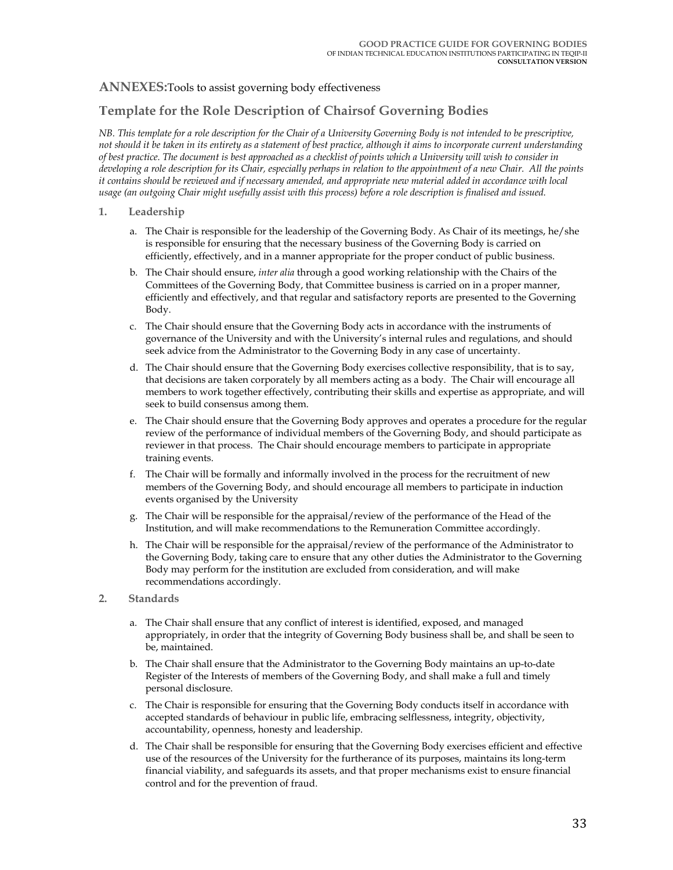## **ANNEXES:**Tools to assist governing body effectiveness

## **Template for the Role Description of Chairsof Governing Bodies**

*NB. This template for a role description for the Chair of a University Governing Body is not intended to be prescriptive, not should it be taken in its entirety as a statement of best practice, although it aims to incorporate current understanding of best practice. The document is best approached as a checklist of points which a University will wish to consider in developing a role description for its Chair, especially perhaps in relation to the appointment of a new Chair. All the points it contains should be reviewed and if necessary amended, and appropriate new material added in accordance with local usage (an outgoing Chair might usefully assist with this process) before a role description is finalised and issued.* 

#### **1. Leadership**

- a. The Chair is responsible for the leadership of the Governing Body. As Chair of its meetings, he/she is responsible for ensuring that the necessary business of the Governing Body is carried on efficiently, effectively, and in a manner appropriate for the proper conduct of public business.
- b. The Chair should ensure, *inter alia* through a good working relationship with the Chairs of the Committees of the Governing Body, that Committee business is carried on in a proper manner, efficiently and effectively, and that regular and satisfactory reports are presented to the Governing Body.
- c. The Chair should ensure that the Governing Body acts in accordance with the instruments of governance of the University and with the University's internal rules and regulations, and should seek advice from the Administrator to the Governing Body in any case of uncertainty.
- d. The Chair should ensure that the Governing Body exercises collective responsibility, that is to say, that decisions are taken corporately by all members acting as a body. The Chair will encourage all members to work together effectively, contributing their skills and expertise as appropriate, and will seek to build consensus among them.
- e. The Chair should ensure that the Governing Body approves and operates a procedure for the regular review of the performance of individual members of the Governing Body, and should participate as reviewer in that process. The Chair should encourage members to participate in appropriate training events.
- f. The Chair will be formally and informally involved in the process for the recruitment of new members of the Governing Body, and should encourage all members to participate in induction events organised by the University
- g. The Chair will be responsible for the appraisal/review of the performance of the Head of the Institution, and will make recommendations to the Remuneration Committee accordingly.
- h. The Chair will be responsible for the appraisal/review of the performance of the Administrator to the Governing Body, taking care to ensure that any other duties the Administrator to the Governing Body may perform for the institution are excluded from consideration, and will make recommendations accordingly.
- **2. Standards** 
	- a. The Chair shall ensure that any conflict of interest is identified, exposed, and managed appropriately, in order that the integrity of Governing Body business shall be, and shall be seen to be, maintained.
	- b. The Chair shall ensure that the Administrator to the Governing Body maintains an up-to-date Register of the Interests of members of the Governing Body, and shall make a full and timely personal disclosure.
	- c. The Chair is responsible for ensuring that the Governing Body conducts itself in accordance with accepted standards of behaviour in public life, embracing selflessness, integrity, objectivity, accountability, openness, honesty and leadership.
	- d. The Chair shall be responsible for ensuring that the Governing Body exercises efficient and effective use of the resources of the University for the furtherance of its purposes, maintains its long-term financial viability, and safeguards its assets, and that proper mechanisms exist to ensure financial control and for the prevention of fraud.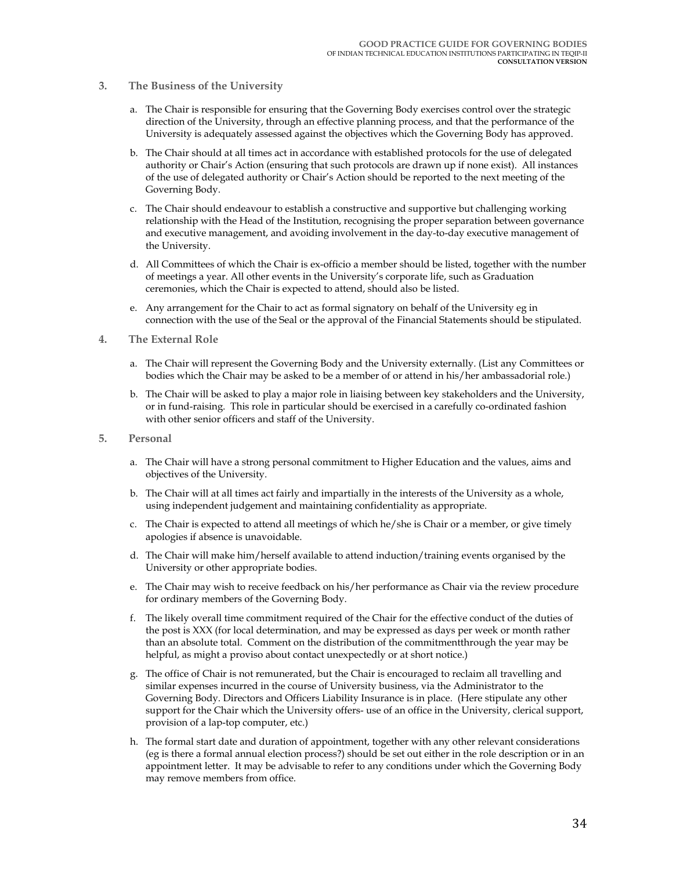- **3. The Business of the University** 
	- a. The Chair is responsible for ensuring that the Governing Body exercises control over the strategic direction of the University, through an effective planning process, and that the performance of the University is adequately assessed against the objectives which the Governing Body has approved.
	- b. The Chair should at all times act in accordance with established protocols for the use of delegated authority or Chair's Action (ensuring that such protocols are drawn up if none exist). All instances of the use of delegated authority or Chair's Action should be reported to the next meeting of the Governing Body.
	- c. The Chair should endeavour to establish a constructive and supportive but challenging working relationship with the Head of the Institution, recognising the proper separation between governance and executive management, and avoiding involvement in the day-to-day executive management of the University.
	- d. All Committees of which the Chair is ex-officio a member should be listed, together with the number of meetings a year. All other events in the University's corporate life, such as Graduation ceremonies, which the Chair is expected to attend, should also be listed.
	- e. Any arrangement for the Chair to act as formal signatory on behalf of the University eg in connection with the use of the Seal or the approval of the Financial Statements should be stipulated.
- **4. The External Role** 
	- a. The Chair will represent the Governing Body and the University externally. (List any Committees or bodies which the Chair may be asked to be a member of or attend in his/her ambassadorial role.)
	- b. The Chair will be asked to play a major role in liaising between key stakeholders and the University, or in fund-raising. This role in particular should be exercised in a carefully co-ordinated fashion with other senior officers and staff of the University.
- **5. Personal** 
	- a. The Chair will have a strong personal commitment to Higher Education and the values, aims and objectives of the University.
	- b. The Chair will at all times act fairly and impartially in the interests of the University as a whole, using independent judgement and maintaining confidentiality as appropriate.
	- c. The Chair is expected to attend all meetings of which he/she is Chair or a member, or give timely apologies if absence is unavoidable.
	- d. The Chair will make him/herself available to attend induction/training events organised by the University or other appropriate bodies.
	- e. The Chair may wish to receive feedback on his/her performance as Chair via the review procedure for ordinary members of the Governing Body.
	- f. The likely overall time commitment required of the Chair for the effective conduct of the duties of the post is XXX (for local determination, and may be expressed as days per week or month rather than an absolute total. Comment on the distribution of the commitmentthrough the year may be helpful, as might a proviso about contact unexpectedly or at short notice.)
	- g. The office of Chair is not remunerated, but the Chair is encouraged to reclaim all travelling and similar expenses incurred in the course of University business, via the Administrator to the Governing Body. Directors and Officers Liability Insurance is in place. (Here stipulate any other support for the Chair which the University offers- use of an office in the University, clerical support, provision of a lap-top computer, etc.)
	- h. The formal start date and duration of appointment, together with any other relevant considerations (eg is there a formal annual election process?) should be set out either in the role description or in an appointment letter. It may be advisable to refer to any conditions under which the Governing Body may remove members from office.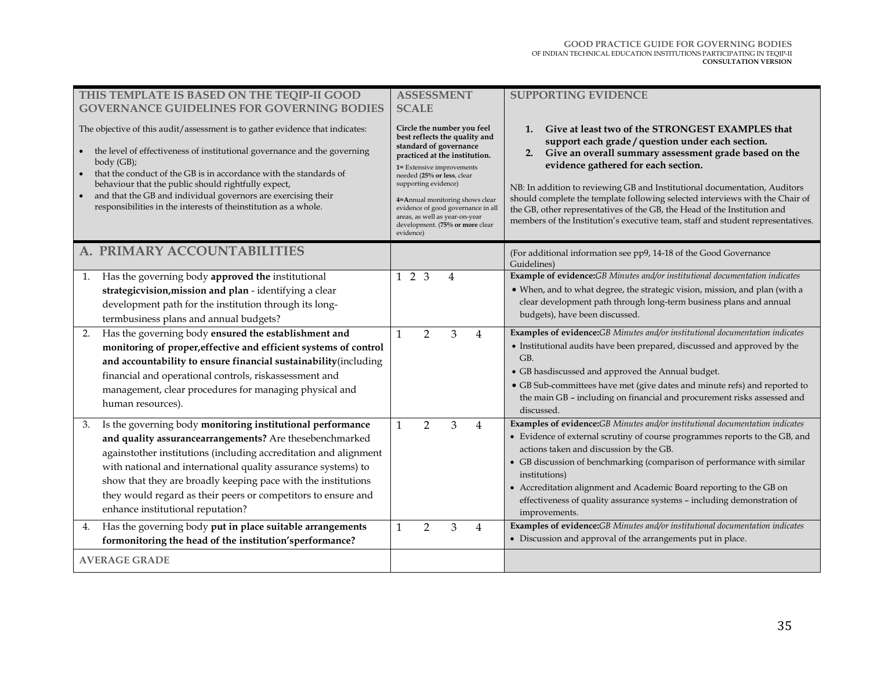| THIS TEMPLATE IS BASED ON THE TEQIP-II GOOD                                                                                                                                                                                                                                                                                                                                                                                              | <b>ASSESSMENT</b>                                                                                                                                                                                                                                                                                                                                                    | <b>SUPPORTING EVIDENCE</b>                                                                                                                                                                                                                                                                                                                                                                                                                                                                                                                    |
|------------------------------------------------------------------------------------------------------------------------------------------------------------------------------------------------------------------------------------------------------------------------------------------------------------------------------------------------------------------------------------------------------------------------------------------|----------------------------------------------------------------------------------------------------------------------------------------------------------------------------------------------------------------------------------------------------------------------------------------------------------------------------------------------------------------------|-----------------------------------------------------------------------------------------------------------------------------------------------------------------------------------------------------------------------------------------------------------------------------------------------------------------------------------------------------------------------------------------------------------------------------------------------------------------------------------------------------------------------------------------------|
| <b>GOVERNANCE GUIDELINES FOR GOVERNING BODIES</b>                                                                                                                                                                                                                                                                                                                                                                                        | <b>SCALE</b>                                                                                                                                                                                                                                                                                                                                                         |                                                                                                                                                                                                                                                                                                                                                                                                                                                                                                                                               |
| The objective of this audit/assessment is to gather evidence that indicates:<br>the level of effectiveness of institutional governance and the governing<br>$body$ (GB);<br>that the conduct of the GB is in accordance with the standards of<br>behaviour that the public should rightfully expect,<br>and that the GB and individual governors are exercising their<br>responsibilities in the interests of theinstitution as a whole. | Circle the number you feel<br>best reflects the quality and<br>standard of governance<br>practiced at the institution.<br>1= Extensive improvements<br>needed (25% or less, clear<br>supporting evidence)<br>4=Annual monitoring shows clear<br>evidence of good governance in all<br>areas, as well as year-on-year<br>development. (75% or more clear<br>evidence) | Give at least two of the STRONGEST EXAMPLES that<br>1.<br>support each grade / question under each section.<br>Give an overall summary assessment grade based on the<br>2.<br>evidence gathered for each section.<br>NB: In addition to reviewing GB and Institutional documentation, Auditors<br>should complete the template following selected interviews with the Chair of<br>the GB, other representatives of the GB, the Head of the Institution and<br>members of the Institution's executive team, staff and student representatives. |
| A. PRIMARY ACCOUNTABILITIES                                                                                                                                                                                                                                                                                                                                                                                                              |                                                                                                                                                                                                                                                                                                                                                                      | (For additional information see pp9, 14-18 of the Good Governance<br>Guidelines)                                                                                                                                                                                                                                                                                                                                                                                                                                                              |
| Has the governing body approved the institutional<br>1.                                                                                                                                                                                                                                                                                                                                                                                  | $1\quad2\quad3$<br>4                                                                                                                                                                                                                                                                                                                                                 | Example of evidence:GB Minutes and/or institutional documentation indicates                                                                                                                                                                                                                                                                                                                                                                                                                                                                   |
| strategicvision, mission and plan - identifying a clear                                                                                                                                                                                                                                                                                                                                                                                  |                                                                                                                                                                                                                                                                                                                                                                      | • When, and to what degree, the strategic vision, mission, and plan (with a                                                                                                                                                                                                                                                                                                                                                                                                                                                                   |
| development path for the institution through its long-                                                                                                                                                                                                                                                                                                                                                                                   |                                                                                                                                                                                                                                                                                                                                                                      | clear development path through long-term business plans and annual<br>budgets), have been discussed.                                                                                                                                                                                                                                                                                                                                                                                                                                          |
| termbusiness plans and annual budgets?                                                                                                                                                                                                                                                                                                                                                                                                   |                                                                                                                                                                                                                                                                                                                                                                      |                                                                                                                                                                                                                                                                                                                                                                                                                                                                                                                                               |
| 2.<br>Has the governing body ensured the establishment and<br>monitoring of proper, effective and efficient systems of control<br>and accountability to ensure financial sustainability(including<br>financial and operational controls, riskassessment and<br>management, clear procedures for managing physical and<br>human resources).                                                                                               | $\mathbf{1}$<br>$\overline{2}$<br>3<br>$\overline{4}$                                                                                                                                                                                                                                                                                                                | Examples of evidence:GB Minutes and/or institutional documentation indicates<br>• Institutional audits have been prepared, discussed and approved by the<br>GB.<br>• GB hasdiscussed and approved the Annual budget.<br>• GB Sub-committees have met (give dates and minute refs) and reported to<br>the main GB - including on financial and procurement risks assessed and<br>discussed.                                                                                                                                                    |
| Is the governing body monitoring institutional performance<br>3.                                                                                                                                                                                                                                                                                                                                                                         | $\mathbf{1}$<br>$\overline{2}$<br>3<br>$\overline{4}$                                                                                                                                                                                                                                                                                                                | Examples of evidence:GB Minutes and/or institutional documentation indicates                                                                                                                                                                                                                                                                                                                                                                                                                                                                  |
| and quality assurancearrangements? Are thesebenchmarked                                                                                                                                                                                                                                                                                                                                                                                  |                                                                                                                                                                                                                                                                                                                                                                      | • Evidence of external scrutiny of course programmes reports to the GB, and<br>actions taken and discussion by the GB.                                                                                                                                                                                                                                                                                                                                                                                                                        |
| againstother institutions (including accreditation and alignment<br>with national and international quality assurance systems) to                                                                                                                                                                                                                                                                                                        |                                                                                                                                                                                                                                                                                                                                                                      | • GB discussion of benchmarking (comparison of performance with similar                                                                                                                                                                                                                                                                                                                                                                                                                                                                       |
| show that they are broadly keeping pace with the institutions                                                                                                                                                                                                                                                                                                                                                                            |                                                                                                                                                                                                                                                                                                                                                                      | institutions)                                                                                                                                                                                                                                                                                                                                                                                                                                                                                                                                 |
| they would regard as their peers or competitors to ensure and                                                                                                                                                                                                                                                                                                                                                                            |                                                                                                                                                                                                                                                                                                                                                                      | • Accreditation alignment and Academic Board reporting to the GB on<br>effectiveness of quality assurance systems - including demonstration of                                                                                                                                                                                                                                                                                                                                                                                                |
| enhance institutional reputation?                                                                                                                                                                                                                                                                                                                                                                                                        |                                                                                                                                                                                                                                                                                                                                                                      | improvements.                                                                                                                                                                                                                                                                                                                                                                                                                                                                                                                                 |
| Has the governing body put in place suitable arrangements<br>4.                                                                                                                                                                                                                                                                                                                                                                          | $\mathbf{1}$<br>$\overline{2}$<br>3<br>$\overline{4}$                                                                                                                                                                                                                                                                                                                | Examples of evidence:GB Minutes and/or institutional documentation indicates                                                                                                                                                                                                                                                                                                                                                                                                                                                                  |
| formonitoring the head of the institution'sperformance?                                                                                                                                                                                                                                                                                                                                                                                  |                                                                                                                                                                                                                                                                                                                                                                      | • Discussion and approval of the arrangements put in place.                                                                                                                                                                                                                                                                                                                                                                                                                                                                                   |
| <b>AVERAGE GRADE</b>                                                                                                                                                                                                                                                                                                                                                                                                                     |                                                                                                                                                                                                                                                                                                                                                                      |                                                                                                                                                                                                                                                                                                                                                                                                                                                                                                                                               |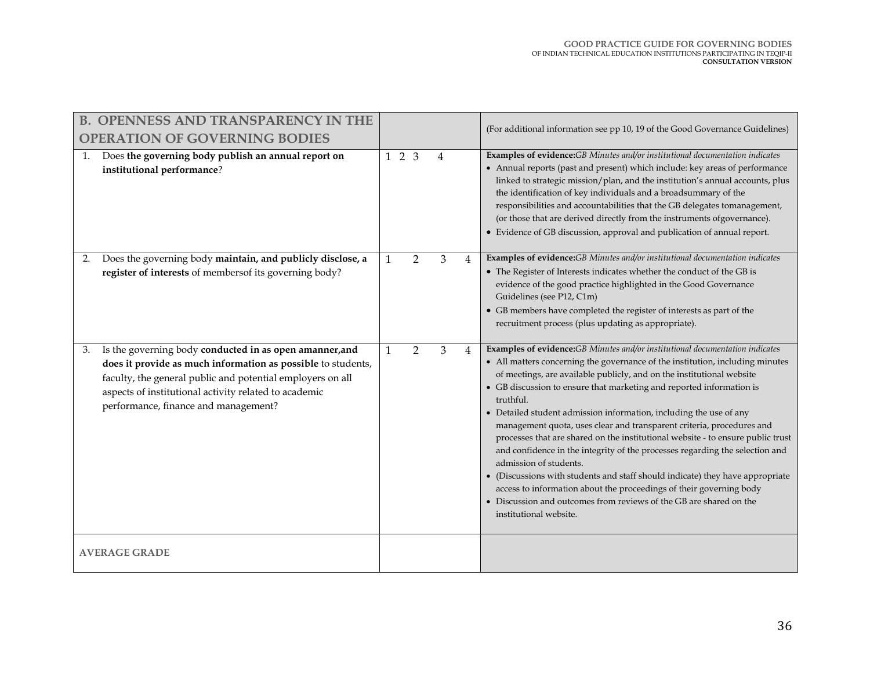| <b>B. OPENNESS AND TRANSPARENCY IN THE</b>                                                                                                                                                                                                                                                   |                 |                |   |   | (For additional information see pp 10, 19 of the Good Governance Guidelines)                                                                                                                                                                                                                                                                                                                                                                                                                                                                                                                                                                                                                                                                                                                                                                                                                                                    |
|----------------------------------------------------------------------------------------------------------------------------------------------------------------------------------------------------------------------------------------------------------------------------------------------|-----------------|----------------|---|---|---------------------------------------------------------------------------------------------------------------------------------------------------------------------------------------------------------------------------------------------------------------------------------------------------------------------------------------------------------------------------------------------------------------------------------------------------------------------------------------------------------------------------------------------------------------------------------------------------------------------------------------------------------------------------------------------------------------------------------------------------------------------------------------------------------------------------------------------------------------------------------------------------------------------------------|
| <b>OPERATION OF GOVERNING BODIES</b><br>Does the governing body publish an annual report on<br>institutional performance?                                                                                                                                                                    | $1\quad2\quad3$ |                | 4 |   | Examples of evidence:GB Minutes and/or institutional documentation indicates<br>• Annual reports (past and present) which include: key areas of performance                                                                                                                                                                                                                                                                                                                                                                                                                                                                                                                                                                                                                                                                                                                                                                     |
|                                                                                                                                                                                                                                                                                              |                 |                |   |   | linked to strategic mission/plan, and the institution's annual accounts, plus<br>the identification of key individuals and a broadsummary of the<br>responsibilities and accountabilities that the GB delegates tomanagement,<br>(or those that are derived directly from the instruments ofgovernance).<br>• Evidence of GB discussion, approval and publication of annual report.                                                                                                                                                                                                                                                                                                                                                                                                                                                                                                                                             |
| Does the governing body maintain, and publicly disclose, a<br>2.<br>register of interests of members f its governing body?                                                                                                                                                                   | $\mathbf{1}$    | $\overline{2}$ | 3 | 4 | Examples of evidence:GB Minutes and/or institutional documentation indicates<br>• The Register of Interests indicates whether the conduct of the GB is<br>evidence of the good practice highlighted in the Good Governance<br>Guidelines (see P12, C1m)<br>• GB members have completed the register of interests as part of the<br>recruitment process (plus updating as appropriate).                                                                                                                                                                                                                                                                                                                                                                                                                                                                                                                                          |
| Is the governing body conducted in as open amanner, and<br>3.<br>does it provide as much information as possible to students,<br>faculty, the general public and potential employers on all<br>aspects of institutional activity related to academic<br>performance, finance and management? | $\mathbf{1}$    | $\overline{2}$ | 3 | 4 | Examples of evidence:GB Minutes and/or institutional documentation indicates<br>• All matters concerning the governance of the institution, including minutes<br>of meetings, are available publicly, and on the institutional website<br>• GB discussion to ensure that marketing and reported information is<br>truthful.<br>• Detailed student admission information, including the use of any<br>management quota, uses clear and transparent criteria, procedures and<br>processes that are shared on the institutional website - to ensure public trust<br>and confidence in the integrity of the processes regarding the selection and<br>admission of students.<br>• (Discussions with students and staff should indicate) they have appropriate<br>access to information about the proceedings of their governing body<br>• Discussion and outcomes from reviews of the GB are shared on the<br>institutional website. |
| <b>AVERAGE GRADE</b>                                                                                                                                                                                                                                                                         |                 |                |   |   |                                                                                                                                                                                                                                                                                                                                                                                                                                                                                                                                                                                                                                                                                                                                                                                                                                                                                                                                 |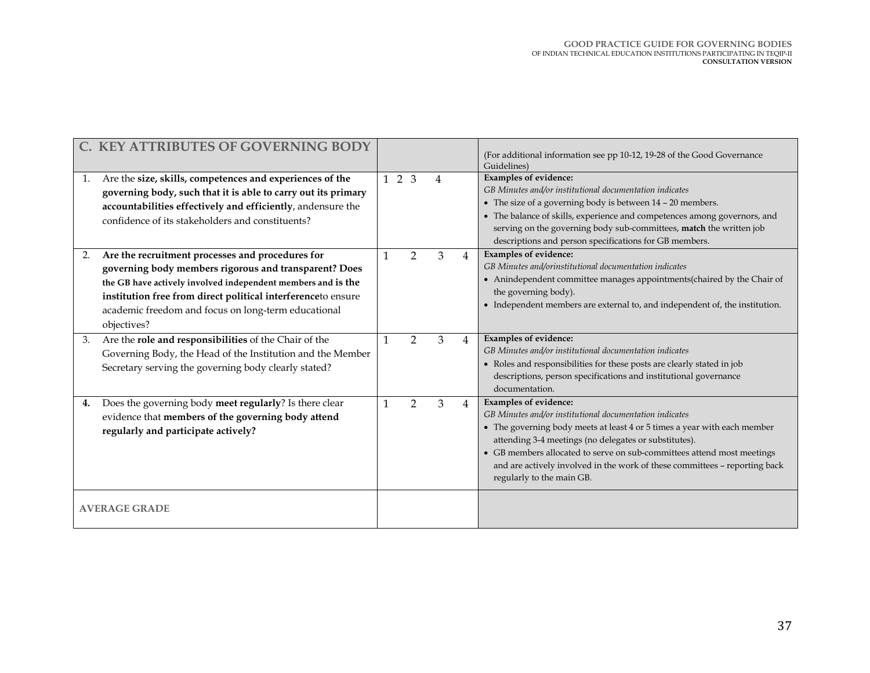| 1. | C. KEY ATTRIBUTES OF GOVERNING BODY<br>Are the size, skills, competences and experiences of the<br>governing body, such that it is able to carry out its primary<br>accountabilities effectively and efficiently, andensure the<br>confidence of its stakeholders and constituents?                             | $1\quad2\quad3$ |                | $\overline{4}$ |                | (For additional information see pp 10-12, 19-28 of the Good Governance<br>Guidelines)<br><b>Examples of evidence:</b><br>GB Minutes and/or institutional documentation indicates<br>• The size of a governing body is between 14 - 20 members.<br>• The balance of skills, experience and competences among governors, and<br>serving on the governing body sub-committees, match the written job<br>descriptions and person specifications for GB members. |
|----|-----------------------------------------------------------------------------------------------------------------------------------------------------------------------------------------------------------------------------------------------------------------------------------------------------------------|-----------------|----------------|----------------|----------------|-------------------------------------------------------------------------------------------------------------------------------------------------------------------------------------------------------------------------------------------------------------------------------------------------------------------------------------------------------------------------------------------------------------------------------------------------------------|
| 2. | Are the recruitment processes and procedures for<br>governing body members rigorous and transparent? Does<br>the GB have actively involved independent members and is the<br>institution free from direct political interferenceto ensure<br>academic freedom and focus on long-term educational<br>objectives? |                 | $\overline{2}$ | 3              | $\overline{4}$ | Examples of evidence:<br>GB Minutes and/orinstitutional documentation indicates<br>• Anindependent committee manages appointments(chaired by the Chair of<br>the governing body).<br>• Independent members are external to, and independent of, the institution.                                                                                                                                                                                            |
| 3. | Are the role and responsibilities of the Chair of the<br>Governing Body, the Head of the Institution and the Member<br>Secretary serving the governing body clearly stated?                                                                                                                                     |                 | $\overline{2}$ | 3              | $\overline{4}$ | Examples of evidence:<br>GB Minutes and/or institutional documentation indicates<br>• Roles and responsibilities for these posts are clearly stated in job<br>descriptions, person specifications and institutional governance<br>documentation.                                                                                                                                                                                                            |
| 4. | Does the governing body meet regularly? Is there clear<br>evidence that members of the governing body attend<br>regularly and participate actively?                                                                                                                                                             |                 | $\overline{2}$ | 3              | $\overline{4}$ | Examples of evidence:<br>GB Minutes and/or institutional documentation indicates<br>• The governing body meets at least 4 or 5 times a year with each member<br>attending 3-4 meetings (no delegates or substitutes).<br>• GB members allocated to serve on sub-committees attend most meetings<br>and are actively involved in the work of these committees - reporting back<br>regularly to the main GB.                                                  |
|    | <b>AVERAGE GRADE</b>                                                                                                                                                                                                                                                                                            |                 |                |                |                |                                                                                                                                                                                                                                                                                                                                                                                                                                                             |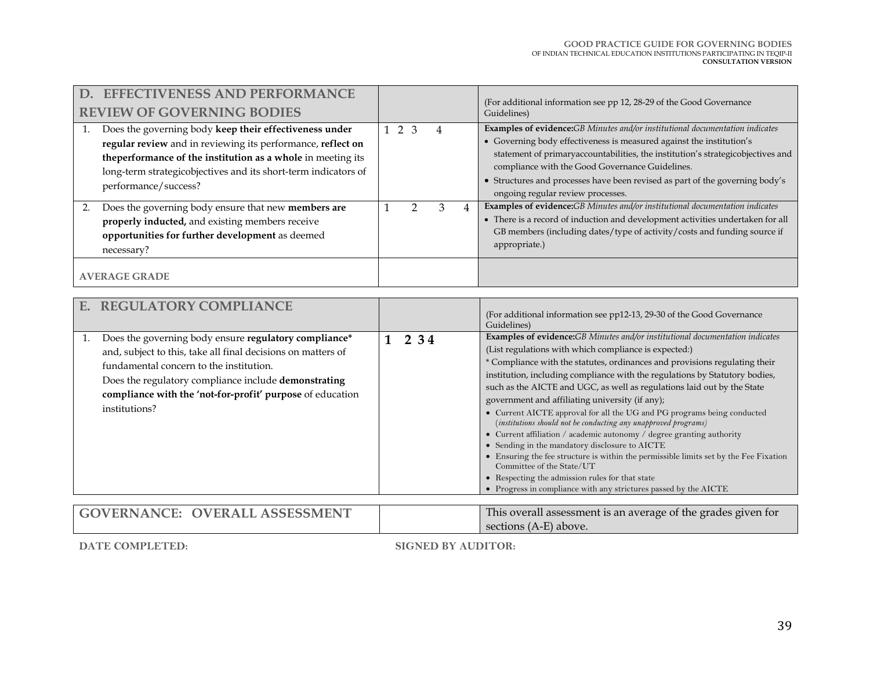## **GOOD PRACTICE GUIDE FOR GOVERNING BODIES** OF INDIAN TECHNICAL EDUCATION INSTITUTIONS PARTICIPATING IN TEQIP-II **CONSULTATION VERSION**

| D. EFFECTIVENESS AND PERFORMANCE<br><b>REVIEW OF GOVERNING BODIES</b>                                                                                                                                                                                                           |                |               |               |   | (For additional information see pp 12, 28-29 of the Good Governance<br>Guidelines)                                                                                                                                                                                                                                                                                                                                      |
|---------------------------------------------------------------------------------------------------------------------------------------------------------------------------------------------------------------------------------------------------------------------------------|----------------|---------------|---------------|---|-------------------------------------------------------------------------------------------------------------------------------------------------------------------------------------------------------------------------------------------------------------------------------------------------------------------------------------------------------------------------------------------------------------------------|
| Does the governing body keep their effectiveness under<br>regular review and in reviewing its performance, reflect on<br>the performance of the institution as a whole in meeting its<br>long-term strategicobjectives and its short-term indicators of<br>performance/success? | 1 <sub>2</sub> | $\mathcal{R}$ |               |   | <b>Examples of evidence:</b> GB Minutes and/or institutional documentation indicates<br>• Governing body effectiveness is measured against the institution's<br>statement of primaryaccountabilities, the institution's strategicobjectives and<br>compliance with the Good Governance Guidelines.<br>• Structures and processes have been revised as part of the governing body's<br>ongoing regular review processes. |
| Does the governing body ensure that new members are<br>properly inducted, and existing members receive<br>opportunities for further development as deemed<br>necessary?<br><b>AVERAGE GRADE</b>                                                                                 |                |               | $\mathcal{R}$ | 4 | Examples of evidence:GB Minutes and/or institutional documentation indicates<br>• There is a record of induction and development activities undertaken for all<br>GB members (including dates/type of activity/costs and funding source if<br>appropriate.)                                                                                                                                                             |

| <b>REGULATORY COMPLIANCE</b><br>F.                                                                                                                                                                                                                                                                     |       | (For additional information see pp12-13, 29-30 of the Good Governance<br>Guidelines)                                                                                                                                                                                                                                                                                                                                                                                                                                                                                                                                                                                                                                                                                                                                                                                                                                                                   |
|--------------------------------------------------------------------------------------------------------------------------------------------------------------------------------------------------------------------------------------------------------------------------------------------------------|-------|--------------------------------------------------------------------------------------------------------------------------------------------------------------------------------------------------------------------------------------------------------------------------------------------------------------------------------------------------------------------------------------------------------------------------------------------------------------------------------------------------------------------------------------------------------------------------------------------------------------------------------------------------------------------------------------------------------------------------------------------------------------------------------------------------------------------------------------------------------------------------------------------------------------------------------------------------------|
| Does the governing body ensure regulatory compliance*<br>and, subject to this, take all final decisions on matters of<br>fundamental concern to the institution.<br>Does the regulatory compliance include demonstrating<br>compliance with the 'not-for-profit' purpose of education<br>institutions? | 2 3 4 | Examples of evidence:GB Minutes and/or institutional documentation indicates<br>(List regulations with which compliance is expected:)<br>* Compliance with the statutes, ordinances and provisions regulating their<br>institution, including compliance with the regulations by Statutory bodies,<br>such as the AICTE and UGC, as well as regulations laid out by the State<br>government and affiliating university (if any);<br>• Current AICTE approval for all the UG and PG programs being conducted<br>(institutions should not be conducting any unapproved programs)<br>• Current affiliation / academic autonomy / degree granting authority<br>• Sending in the mandatory disclosure to AICTE<br>• Ensuring the fee structure is within the permissible limits set by the Fee Fixation<br>Committee of the State/UT<br>• Respecting the admission rules for that state<br>• Progress in compliance with any strictures passed by the AICTE |
| <b>GOVERNANCE: OVERALL ASSESSMENT</b>                                                                                                                                                                                                                                                                  |       | This overall assessment is an average of the grades given for<br>sections (A-E) above.                                                                                                                                                                                                                                                                                                                                                                                                                                                                                                                                                                                                                                                                                                                                                                                                                                                                 |

**DATE COMPLETED:**

**SIGNED BY AUDITOR:**